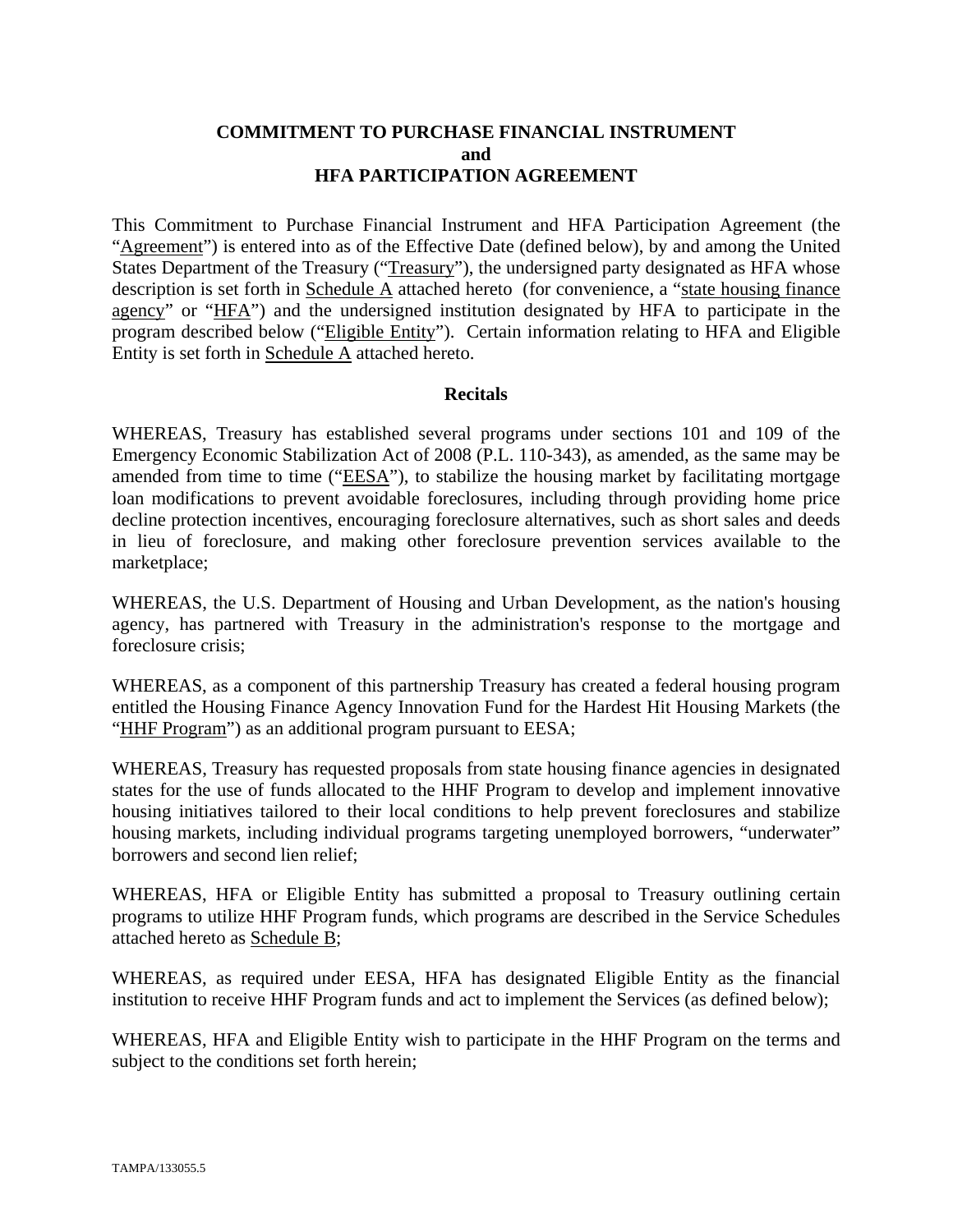#### **COMMITMENT TO PURCHASE FINANCIAL INSTRUMENT and HFA PARTICIPATION AGREEMENT**

This Commitment to Purchase Financial Instrument and HFA Participation Agreement (the "Agreement") is entered into as of the Effective Date (defined below), by and among the United States Department of the Treasury ("Treasury"), the undersigned party designated as HFA whose description is set forth in Schedule A attached hereto (for convenience, a "state housing finance agency" or "HFA") and the undersigned institution designated by HFA to participate in the program described below ("Eligible Entity"). Certain information relating to HFA and Eligible Entity is set forth in Schedule A attached hereto.

#### **Recitals**

WHEREAS, Treasury has established several programs under sections 101 and 109 of the Emergency Economic Stabilization Act of 2008 (P.L. 110-343), as amended, as the same may be amended from time to time ("EESA"), to stabilize the housing market by facilitating mortgage loan modifications to prevent avoidable foreclosures, including through providing home price decline protection incentives, encouraging foreclosure alternatives, such as short sales and deeds in lieu of foreclosure, and making other foreclosure prevention services available to the marketplace;

WHEREAS, the U.S. Department of Housing and Urban Development, as the nation's housing agency, has partnered with Treasury in the administration's response to the mortgage and foreclosure crisis;

WHEREAS, as a component of this partnership Treasury has created a federal housing program entitled the Housing Finance Agency Innovation Fund for the Hardest Hit Housing Markets (the "HHF Program") as an additional program pursuant to EESA;

WHEREAS, Treasury has requested proposals from state housing finance agencies in designated states for the use of funds allocated to the HHF Program to develop and implement innovative housing initiatives tailored to their local conditions to help prevent foreclosures and stabilize housing markets, including individual programs targeting unemployed borrowers, "underwater" borrowers and second lien relief;

WHEREAS, HFA or Eligible Entity has submitted a proposal to Treasury outlining certain programs to utilize HHF Program funds, which programs are described in the Service Schedules attached hereto as Schedule B;

WHEREAS, as required under EESA, HFA has designated Eligible Entity as the financial institution to receive HHF Program funds and act to implement the Services (as defined below);

WHEREAS, HFA and Eligible Entity wish to participate in the HHF Program on the terms and subject to the conditions set forth herein;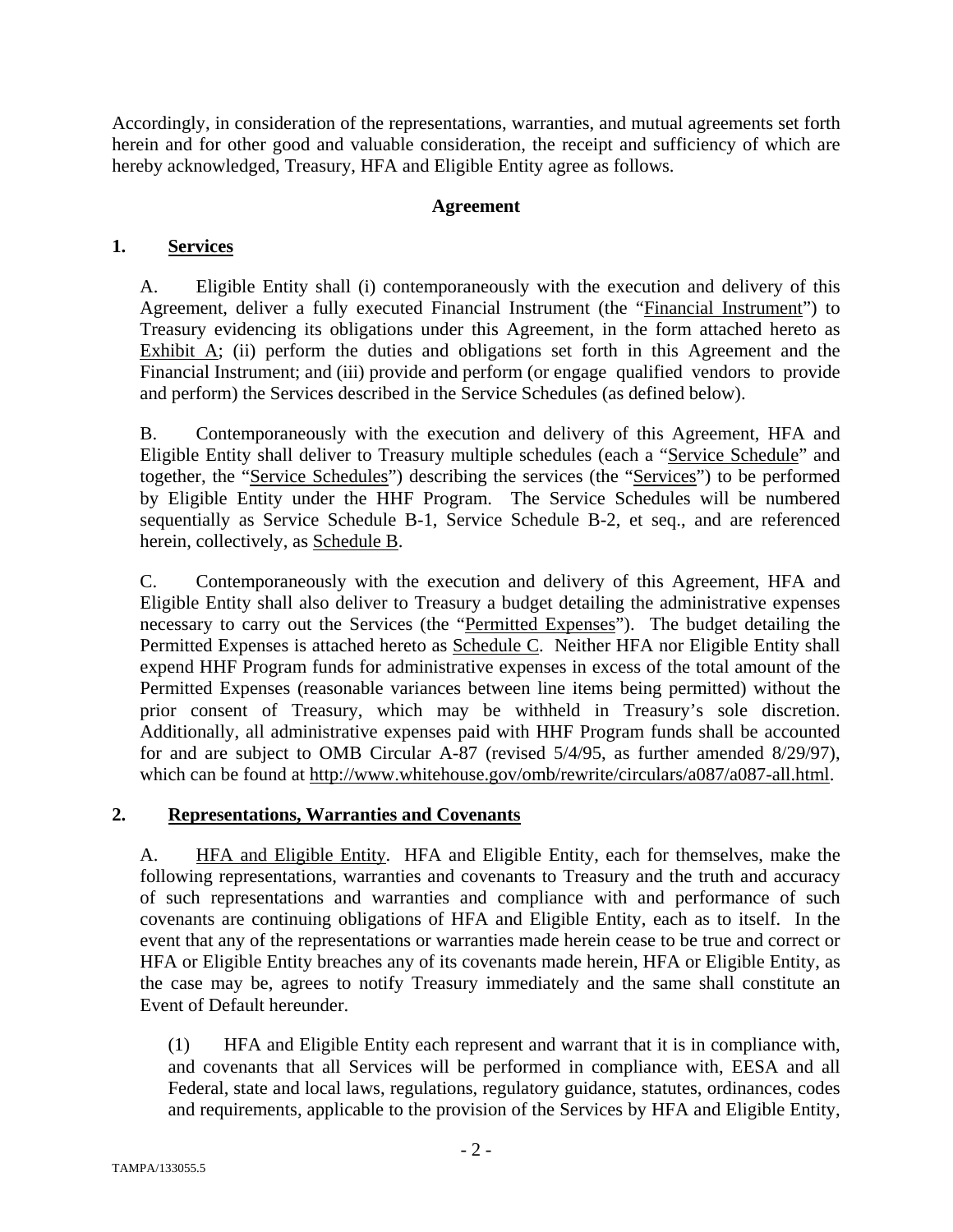Accordingly, in consideration of the representations, warranties, and mutual agreements set forth herein and for other good and valuable consideration, the receipt and sufficiency of which are hereby acknowledged, Treasury, HFA and Eligible Entity agree as follows.

## **Agreement**

# **1. Services**

A. Eligible Entity shall (i) contemporaneously with the execution and delivery of this Agreement, deliver a fully executed Financial Instrument (the "Financial Instrument") to Treasury evidencing its obligations under this Agreement, in the form attached hereto as Exhibit  $\overline{A}$ ; (ii) perform the duties and obligations set forth in this Agreement and the Financial Instrument; and (iii) provide and perform (or engage qualified vendors to provide and perform) the Services described in the Service Schedules (as defined below).

B. Contemporaneously with the execution and delivery of this Agreement, HFA and Eligible Entity shall deliver to Treasury multiple schedules (each a "Service Schedule" and together, the "Service Schedules") describing the services (the "Services") to be performed by Eligible Entity under the HHF Program. The Service Schedules will be numbered sequentially as Service Schedule B-1, Service Schedule B-2, et seq., and are referenced herein, collectively, as Schedule B.

C. Contemporaneously with the execution and delivery of this Agreement, HFA and Eligible Entity shall also deliver to Treasury a budget detailing the administrative expenses necessary to carry out the Services (the "Permitted Expenses"). The budget detailing the Permitted Expenses is attached hereto as Schedule C. Neither HFA nor Eligible Entity shall expend HHF Program funds for administrative expenses in excess of the total amount of the Permitted Expenses (reasonable variances between line items being permitted) without the prior consent of Treasury, which may be withheld in Treasury's sole discretion. Additionally, all administrative expenses paid with HHF Program funds shall be accounted for and are subject to OMB Circular A-87 (revised 5/4/95, as further amended 8/29/97), which can be found at http://www.whitehouse.gov/omb/rewrite/circulars/a087/a087-all.html.

## **2. Representations, Warranties and Covenants**

A. **HFA and Eligible Entity.** HFA and Eligible Entity, each for themselves, make the following representations, warranties and covenants to Treasury and the truth and accuracy of such representations and warranties and compliance with and performance of such covenants are continuing obligations of HFA and Eligible Entity, each as to itself. In the event that any of the representations or warranties made herein cease to be true and correct or HFA or Eligible Entity breaches any of its covenants made herein, HFA or Eligible Entity, as the case may be, agrees to notify Treasury immediately and the same shall constitute an Event of Default hereunder.

(1) HFA and Eligible Entity each represent and warrant that it is in compliance with, and covenants that all Services will be performed in compliance with, EESA and all Federal, state and local laws, regulations, regulatory guidance, statutes, ordinances, codes and requirements, applicable to the provision of the Services by HFA and Eligible Entity,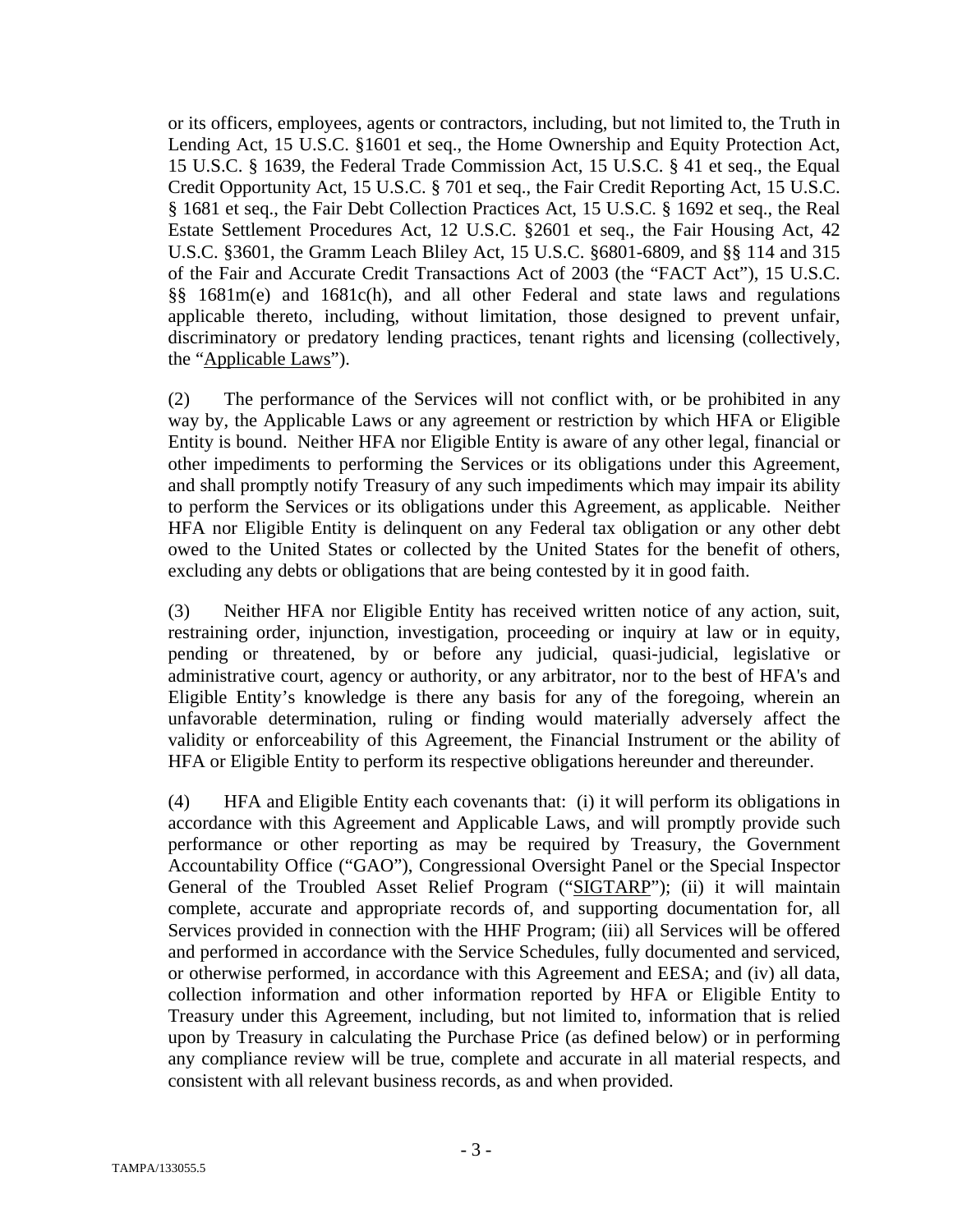or its officers, employees, agents or contractors, including, but not limited to, the Truth in Lending Act, 15 U.S.C. §1601 et seq., the Home Ownership and Equity Protection Act, 15 U.S.C. § 1639, the Federal Trade Commission Act, 15 U.S.C. § 41 et seq., the Equal Credit Opportunity Act, 15 U.S.C. § 701 et seq., the Fair Credit Reporting Act, 15 U.S.C. § 1681 et seq., the Fair Debt Collection Practices Act, 15 U.S.C. § 1692 et seq., the Real Estate Settlement Procedures Act, 12 U.S.C. §2601 et seq., the Fair Housing Act, 42 U.S.C. §3601, the Gramm Leach Bliley Act, 15 U.S.C. §6801-6809, and §§ 114 and 315 of the Fair and Accurate Credit Transactions Act of 2003 (the "FACT Act"), 15 U.S.C. §§ 1681m(e) and 1681c(h), and all other Federal and state laws and regulations applicable thereto, including, without limitation, those designed to prevent unfair, discriminatory or predatory lending practices, tenant rights and licensing (collectively, the "Applicable Laws").

(2) The performance of the Services will not conflict with, or be prohibited in any way by, the Applicable Laws or any agreement or restriction by which HFA or Eligible Entity is bound. Neither HFA nor Eligible Entity is aware of any other legal, financial or other impediments to performing the Services or its obligations under this Agreement, and shall promptly notify Treasury of any such impediments which may impair its ability to perform the Services or its obligations under this Agreement, as applicable. Neither HFA nor Eligible Entity is delinquent on any Federal tax obligation or any other debt owed to the United States or collected by the United States for the benefit of others, excluding any debts or obligations that are being contested by it in good faith.

(3) Neither HFA nor Eligible Entity has received written notice of any action, suit, restraining order, injunction, investigation, proceeding or inquiry at law or in equity, pending or threatened, by or before any judicial, quasi-judicial, legislative or administrative court, agency or authority, or any arbitrator, nor to the best of HFA's and Eligible Entity's knowledge is there any basis for any of the foregoing, wherein an unfavorable determination, ruling or finding would materially adversely affect the validity or enforceability of this Agreement, the Financial Instrument or the ability of HFA or Eligible Entity to perform its respective obligations hereunder and thereunder.

(4) HFA and Eligible Entity each covenants that: (i) it will perform its obligations in accordance with this Agreement and Applicable Laws, and will promptly provide such performance or other reporting as may be required by Treasury, the Government Accountability Office ("GAO"), Congressional Oversight Panel or the Special Inspector General of the Troubled Asset Relief Program ("SIGTARP"); (ii) it will maintain complete, accurate and appropriate records of, and supporting documentation for, all Services provided in connection with the HHF Program; (iii) all Services will be offered and performed in accordance with the Service Schedules, fully documented and serviced, or otherwise performed, in accordance with this Agreement and EESA; and (iv) all data, collection information and other information reported by HFA or Eligible Entity to Treasury under this Agreement, including, but not limited to, information that is relied upon by Treasury in calculating the Purchase Price (as defined below) or in performing any compliance review will be true, complete and accurate in all material respects, and consistent with all relevant business records, as and when provided.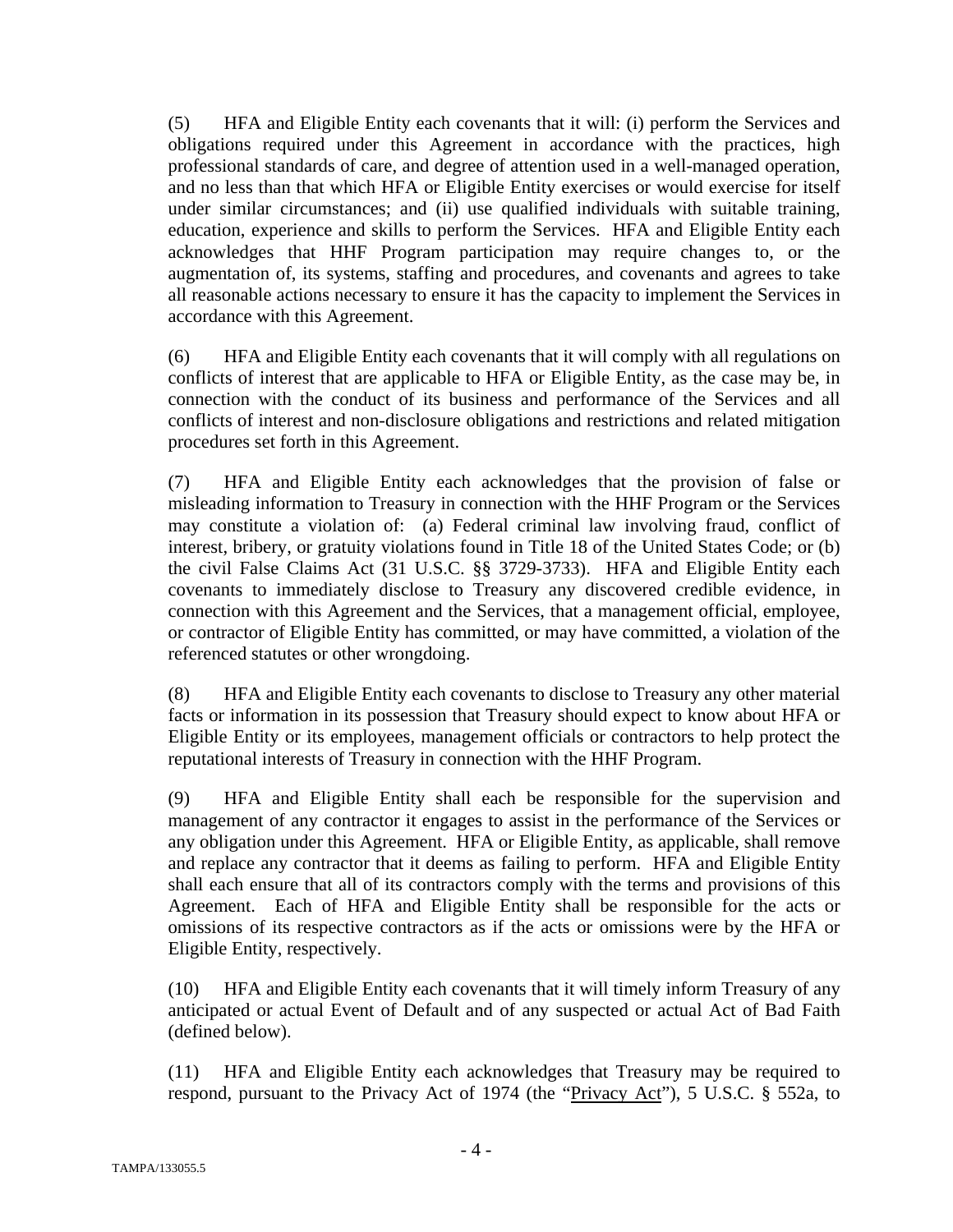(5) HFA and Eligible Entity each covenants that it will: (i) perform the Services and obligations required under this Agreement in accordance with the practices, high professional standards of care, and degree of attention used in a well-managed operation, and no less than that which HFA or Eligible Entity exercises or would exercise for itself under similar circumstances; and (ii) use qualified individuals with suitable training, education, experience and skills to perform the Services. HFA and Eligible Entity each acknowledges that HHF Program participation may require changes to, or the augmentation of, its systems, staffing and procedures, and covenants and agrees to take all reasonable actions necessary to ensure it has the capacity to implement the Services in accordance with this Agreement.

(6) HFA and Eligible Entity each covenants that it will comply with all regulations on conflicts of interest that are applicable to HFA or Eligible Entity, as the case may be, in connection with the conduct of its business and performance of the Services and all conflicts of interest and non-disclosure obligations and restrictions and related mitigation procedures set forth in this Agreement.

(7) HFA and Eligible Entity each acknowledges that the provision of false or misleading information to Treasury in connection with the HHF Program or the Services may constitute a violation of: (a) Federal criminal law involving fraud, conflict of interest, bribery, or gratuity violations found in Title 18 of the United States Code; or (b) the civil False Claims Act (31 U.S.C. §§ 3729-3733). HFA and Eligible Entity each covenants to immediately disclose to Treasury any discovered credible evidence, in connection with this Agreement and the Services, that a management official, employee, or contractor of Eligible Entity has committed, or may have committed, a violation of the referenced statutes or other wrongdoing.

(8) HFA and Eligible Entity each covenants to disclose to Treasury any other material facts or information in its possession that Treasury should expect to know about HFA or Eligible Entity or its employees, management officials or contractors to help protect the reputational interests of Treasury in connection with the HHF Program.

(9) HFA and Eligible Entity shall each be responsible for the supervision and management of any contractor it engages to assist in the performance of the Services or any obligation under this Agreement. HFA or Eligible Entity, as applicable, shall remove and replace any contractor that it deems as failing to perform. HFA and Eligible Entity shall each ensure that all of its contractors comply with the terms and provisions of this Agreement. Each of HFA and Eligible Entity shall be responsible for the acts or omissions of its respective contractors as if the acts or omissions were by the HFA or Eligible Entity, respectively.

(10) HFA and Eligible Entity each covenants that it will timely inform Treasury of any anticipated or actual Event of Default and of any suspected or actual Act of Bad Faith (defined below).

(11) HFA and Eligible Entity each acknowledges that Treasury may be required to respond, pursuant to the Privacy Act of 1974 (the "Privacy Act"), 5 U.S.C. § 552a, to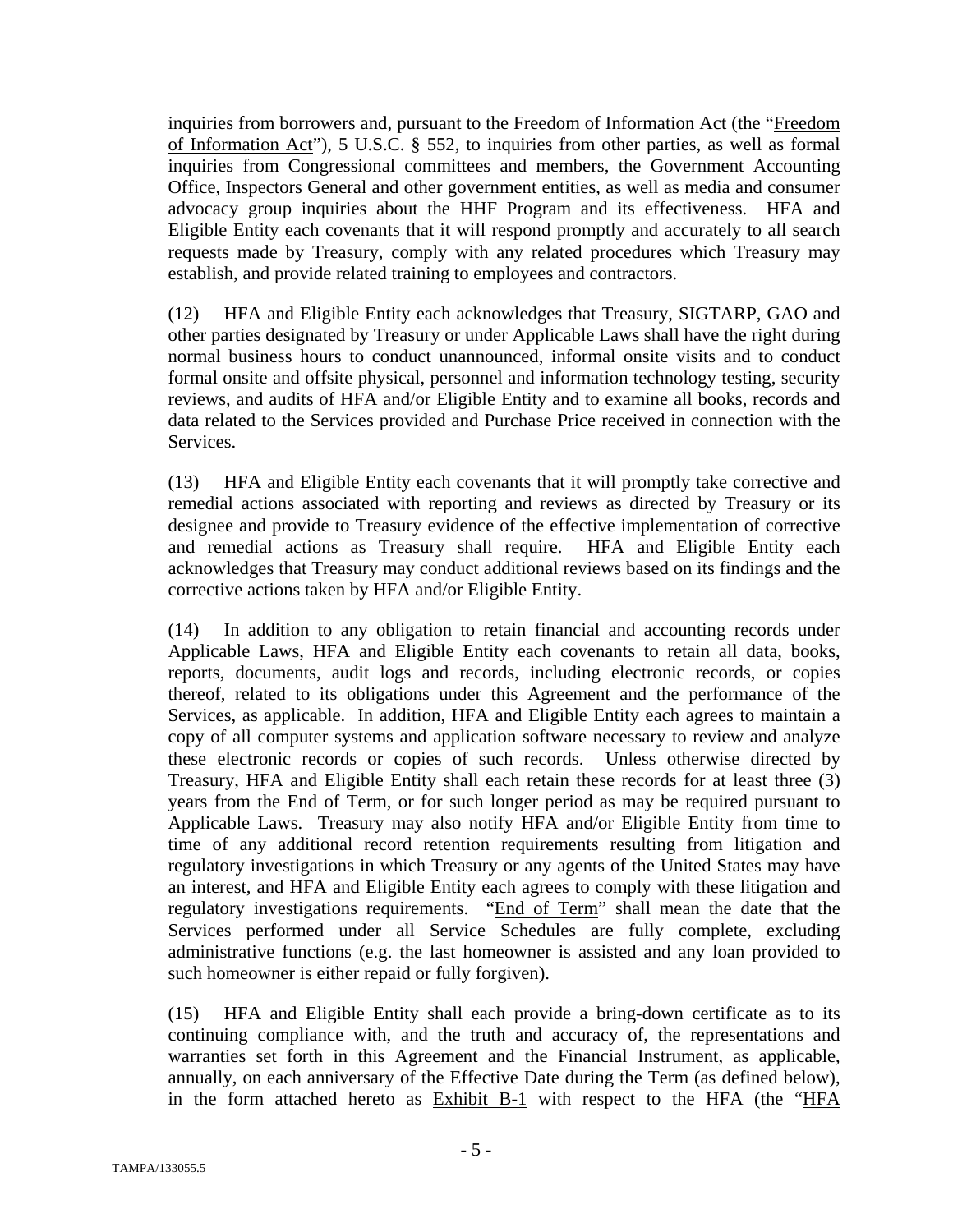inquiries from borrowers and, pursuant to the Freedom of Information Act (the "Freedom of Information Act"), 5 U.S.C. § 552, to inquiries from other parties, as well as formal inquiries from Congressional committees and members, the Government Accounting Office, Inspectors General and other government entities, as well as media and consumer advocacy group inquiries about the HHF Program and its effectiveness. HFA and Eligible Entity each covenants that it will respond promptly and accurately to all search requests made by Treasury, comply with any related procedures which Treasury may establish, and provide related training to employees and contractors.

(12) HFA and Eligible Entity each acknowledges that Treasury, SIGTARP, GAO and other parties designated by Treasury or under Applicable Laws shall have the right during normal business hours to conduct unannounced, informal onsite visits and to conduct formal onsite and offsite physical, personnel and information technology testing, security reviews, and audits of HFA and/or Eligible Entity and to examine all books, records and data related to the Services provided and Purchase Price received in connection with the Services.

(13) HFA and Eligible Entity each covenants that it will promptly take corrective and remedial actions associated with reporting and reviews as directed by Treasury or its designee and provide to Treasury evidence of the effective implementation of corrective and remedial actions as Treasury shall require. HFA and Eligible Entity each acknowledges that Treasury may conduct additional reviews based on its findings and the corrective actions taken by HFA and/or Eligible Entity.

(14) In addition to any obligation to retain financial and accounting records under Applicable Laws, HFA and Eligible Entity each covenants to retain all data, books, reports, documents, audit logs and records, including electronic records, or copies thereof, related to its obligations under this Agreement and the performance of the Services, as applicable. In addition, HFA and Eligible Entity each agrees to maintain a copy of all computer systems and application software necessary to review and analyze these electronic records or copies of such records. Unless otherwise directed by Treasury, HFA and Eligible Entity shall each retain these records for at least three (3) years from the End of Term, or for such longer period as may be required pursuant to Applicable Laws. Treasury may also notify HFA and/or Eligible Entity from time to time of any additional record retention requirements resulting from litigation and regulatory investigations in which Treasury or any agents of the United States may have an interest, and HFA and Eligible Entity each agrees to comply with these litigation and regulatory investigations requirements. "End of Term" shall mean the date that the Services performed under all Service Schedules are fully complete, excluding administrative functions (e.g. the last homeowner is assisted and any loan provided to such homeowner is either repaid or fully forgiven).

(15) HFA and Eligible Entity shall each provide a bring-down certificate as to its continuing compliance with, and the truth and accuracy of, the representations and warranties set forth in this Agreement and the Financial Instrument, as applicable, annually, on each anniversary of the Effective Date during the Term (as defined below), in the form attached hereto as Exhibit B-1 with respect to the HFA (the "HFA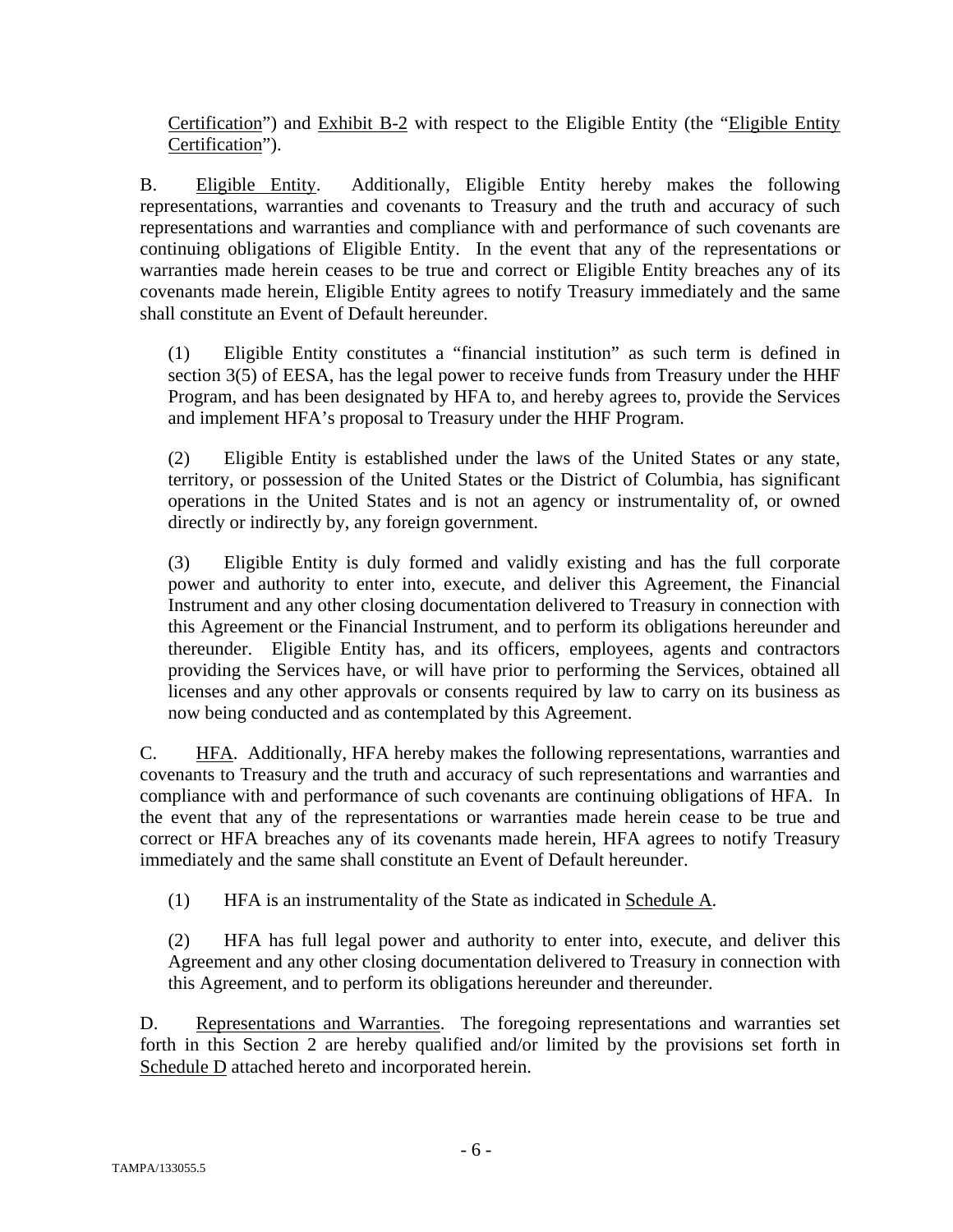Certification") and Exhibit B-2 with respect to the Eligible Entity (the "Eligible Entity Certification").

B. Eligible Entity. Additionally, Eligible Entity hereby makes the following representations, warranties and covenants to Treasury and the truth and accuracy of such representations and warranties and compliance with and performance of such covenants are continuing obligations of Eligible Entity. In the event that any of the representations or warranties made herein ceases to be true and correct or Eligible Entity breaches any of its covenants made herein, Eligible Entity agrees to notify Treasury immediately and the same shall constitute an Event of Default hereunder.

(1) Eligible Entity constitutes a "financial institution" as such term is defined in section 3(5) of EESA, has the legal power to receive funds from Treasury under the HHF Program, and has been designated by HFA to, and hereby agrees to, provide the Services and implement HFA's proposal to Treasury under the HHF Program.

(2) Eligible Entity is established under the laws of the United States or any state, territory, or possession of the United States or the District of Columbia, has significant operations in the United States and is not an agency or instrumentality of, or owned directly or indirectly by, any foreign government.

(3) Eligible Entity is duly formed and validly existing and has the full corporate power and authority to enter into, execute, and deliver this Agreement, the Financial Instrument and any other closing documentation delivered to Treasury in connection with this Agreement or the Financial Instrument, and to perform its obligations hereunder and thereunder. Eligible Entity has, and its officers, employees, agents and contractors providing the Services have, or will have prior to performing the Services, obtained all licenses and any other approvals or consents required by law to carry on its business as now being conducted and as contemplated by this Agreement.

C. HFA. Additionally, HFA hereby makes the following representations, warranties and covenants to Treasury and the truth and accuracy of such representations and warranties and compliance with and performance of such covenants are continuing obligations of HFA. In the event that any of the representations or warranties made herein cease to be true and correct or HFA breaches any of its covenants made herein, HFA agrees to notify Treasury immediately and the same shall constitute an Event of Default hereunder.

(1) HFA is an instrumentality of the State as indicated in Schedule A.

(2) HFA has full legal power and authority to enter into, execute, and deliver this Agreement and any other closing documentation delivered to Treasury in connection with this Agreement, and to perform its obligations hereunder and thereunder.

D. Representations and Warranties. The foregoing representations and warranties set forth in this Section 2 are hereby qualified and/or limited by the provisions set forth in Schedule D attached hereto and incorporated herein.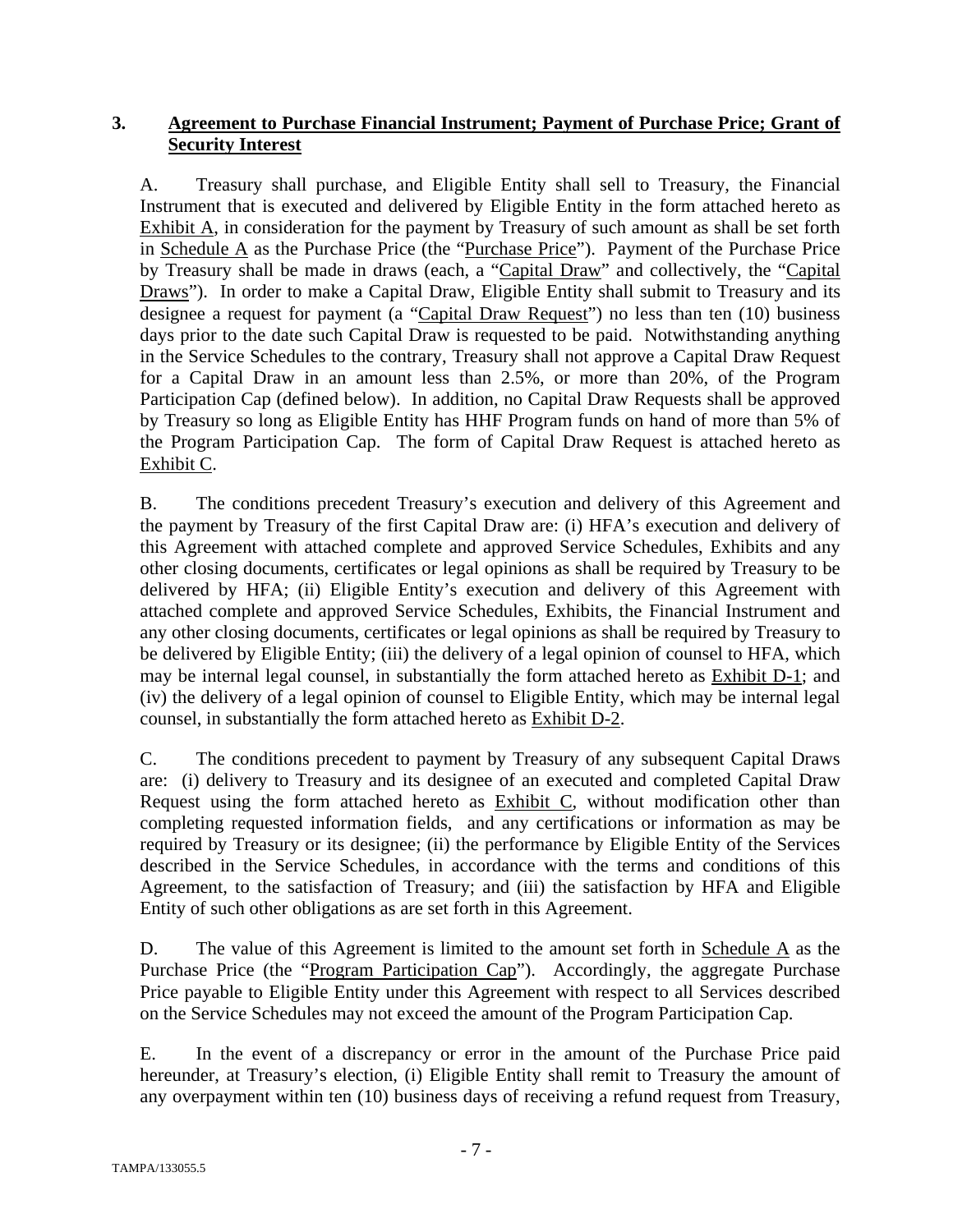# **3. Agreement to Purchase Financial Instrument; Payment of Purchase Price; Grant of Security Interest**

A. Treasury shall purchase, and Eligible Entity shall sell to Treasury, the Financial Instrument that is executed and delivered by Eligible Entity in the form attached hereto as Exhibit A, in consideration for the payment by Treasury of such amount as shall be set forth in Schedule A as the Purchase Price (the "Purchase Price"). Payment of the Purchase Price by Treasury shall be made in draws (each, a "Capital Draw" and collectively, the "Capital Draws"). In order to make a Capital Draw, Eligible Entity shall submit to Treasury and its designee a request for payment (a "Capital Draw Request") no less than ten (10) business days prior to the date such Capital Draw is requested to be paid. Notwithstanding anything in the Service Schedules to the contrary, Treasury shall not approve a Capital Draw Request for a Capital Draw in an amount less than 2.5%, or more than 20%, of the Program Participation Cap (defined below). In addition, no Capital Draw Requests shall be approved by Treasury so long as Eligible Entity has HHF Program funds on hand of more than 5% of the Program Participation Cap. The form of Capital Draw Request is attached hereto as Exhibit C.

B. The conditions precedent Treasury's execution and delivery of this Agreement and the payment by Treasury of the first Capital Draw are: (i) HFA's execution and delivery of this Agreement with attached complete and approved Service Schedules, Exhibits and any other closing documents, certificates or legal opinions as shall be required by Treasury to be delivered by HFA; (ii) Eligible Entity's execution and delivery of this Agreement with attached complete and approved Service Schedules, Exhibits, the Financial Instrument and any other closing documents, certificates or legal opinions as shall be required by Treasury to be delivered by Eligible Entity; (iii) the delivery of a legal opinion of counsel to HFA, which may be internal legal counsel, in substantially the form attached hereto as Exhibit D-1; and (iv) the delivery of a legal opinion of counsel to Eligible Entity, which may be internal legal counsel, in substantially the form attached hereto as Exhibit D-2.

C. The conditions precedent to payment by Treasury of any subsequent Capital Draws are: (i) delivery to Treasury and its designee of an executed and completed Capital Draw Request using the form attached hereto as Exhibit C, without modification other than completing requested information fields, and any certifications or information as may be required by Treasury or its designee; (ii) the performance by Eligible Entity of the Services described in the Service Schedules, in accordance with the terms and conditions of this Agreement, to the satisfaction of Treasury; and (iii) the satisfaction by HFA and Eligible Entity of such other obligations as are set forth in this Agreement.

D. The value of this Agreement is limited to the amount set forth in Schedule  $\overline{A}$  as the Purchase Price (the "Program Participation Cap"). Accordingly, the aggregate Purchase Price payable to Eligible Entity under this Agreement with respect to all Services described on the Service Schedules may not exceed the amount of the Program Participation Cap.

E. In the event of a discrepancy or error in the amount of the Purchase Price paid hereunder, at Treasury's election, (i) Eligible Entity shall remit to Treasury the amount of any overpayment within ten (10) business days of receiving a refund request from Treasury,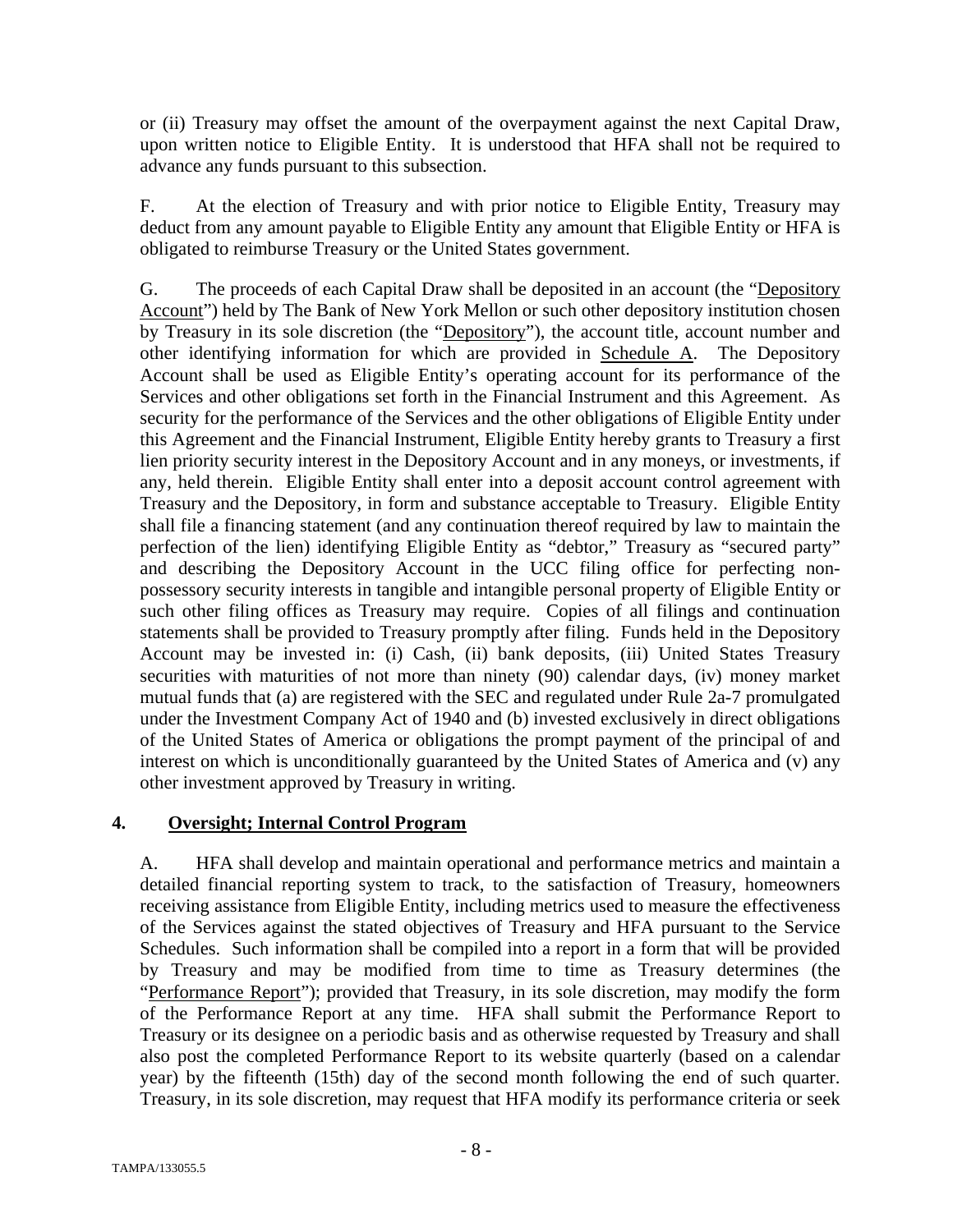or (ii) Treasury may offset the amount of the overpayment against the next Capital Draw, upon written notice to Eligible Entity. It is understood that HFA shall not be required to advance any funds pursuant to this subsection.

F. At the election of Treasury and with prior notice to Eligible Entity, Treasury may deduct from any amount payable to Eligible Entity any amount that Eligible Entity or HFA is obligated to reimburse Treasury or the United States government.

G. The proceeds of each Capital Draw shall be deposited in an account (the "Depository Account") held by The Bank of New York Mellon or such other depository institution chosen by Treasury in its sole discretion (the "Depository"), the account title, account number and other identifying information for which are provided in Schedule A. The Depository Account shall be used as Eligible Entity's operating account for its performance of the Services and other obligations set forth in the Financial Instrument and this Agreement. As security for the performance of the Services and the other obligations of Eligible Entity under this Agreement and the Financial Instrument, Eligible Entity hereby grants to Treasury a first lien priority security interest in the Depository Account and in any moneys, or investments, if any, held therein. Eligible Entity shall enter into a deposit account control agreement with Treasury and the Depository, in form and substance acceptable to Treasury. Eligible Entity shall file a financing statement (and any continuation thereof required by law to maintain the perfection of the lien) identifying Eligible Entity as "debtor," Treasury as "secured party" and describing the Depository Account in the UCC filing office for perfecting nonpossessory security interests in tangible and intangible personal property of Eligible Entity or such other filing offices as Treasury may require. Copies of all filings and continuation statements shall be provided to Treasury promptly after filing. Funds held in the Depository Account may be invested in: (i) Cash, (ii) bank deposits, (iii) United States Treasury securities with maturities of not more than ninety (90) calendar days, (iv) money market mutual funds that (a) are registered with the SEC and regulated under Rule 2a-7 promulgated under the Investment Company Act of 1940 and (b) invested exclusively in direct obligations of the United States of America or obligations the prompt payment of the principal of and interest on which is unconditionally guaranteed by the United States of America and (v) any other investment approved by Treasury in writing.

## **4. Oversight; Internal Control Program**

A. HFA shall develop and maintain operational and performance metrics and maintain a detailed financial reporting system to track, to the satisfaction of Treasury, homeowners receiving assistance from Eligible Entity, including metrics used to measure the effectiveness of the Services against the stated objectives of Treasury and HFA pursuant to the Service Schedules. Such information shall be compiled into a report in a form that will be provided by Treasury and may be modified from time to time as Treasury determines (the "Performance Report"); provided that Treasury, in its sole discretion, may modify the form of the Performance Report at any time. HFA shall submit the Performance Report to Treasury or its designee on a periodic basis and as otherwise requested by Treasury and shall also post the completed Performance Report to its website quarterly (based on a calendar year) by the fifteenth (15th) day of the second month following the end of such quarter. Treasury, in its sole discretion, may request that HFA modify its performance criteria or seek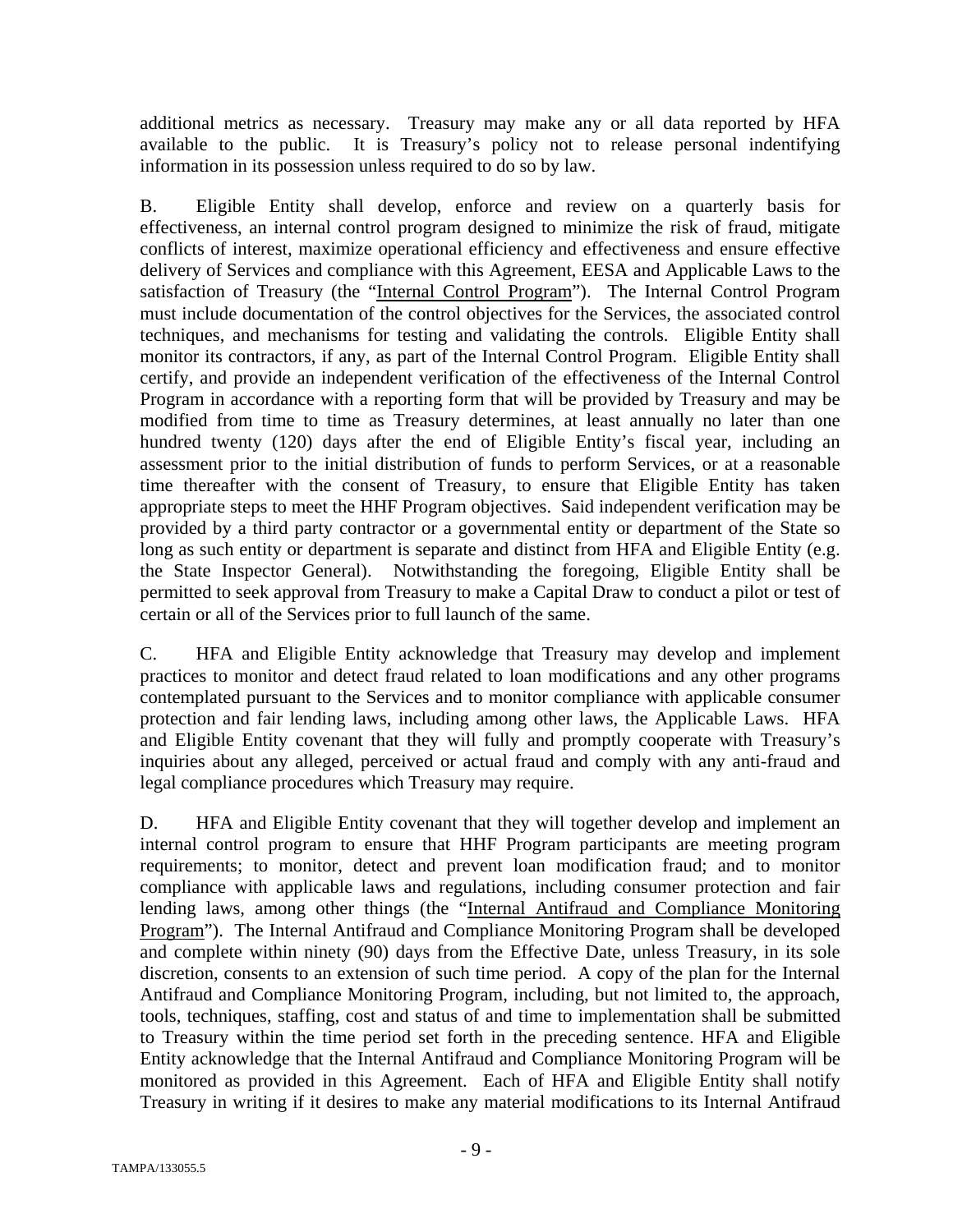additional metrics as necessary. Treasury may make any or all data reported by HFA available to the public. It is Treasury's policy not to release personal indentifying information in its possession unless required to do so by law.

B. Eligible Entity shall develop, enforce and review on a quarterly basis for effectiveness, an internal control program designed to minimize the risk of fraud, mitigate conflicts of interest, maximize operational efficiency and effectiveness and ensure effective delivery of Services and compliance with this Agreement, EESA and Applicable Laws to the satisfaction of Treasury (the "Internal Control Program"). The Internal Control Program must include documentation of the control objectives for the Services, the associated control techniques, and mechanisms for testing and validating the controls. Eligible Entity shall monitor its contractors, if any, as part of the Internal Control Program. Eligible Entity shall certify, and provide an independent verification of the effectiveness of the Internal Control Program in accordance with a reporting form that will be provided by Treasury and may be modified from time to time as Treasury determines, at least annually no later than one hundred twenty (120) days after the end of Eligible Entity's fiscal year, including an assessment prior to the initial distribution of funds to perform Services, or at a reasonable time thereafter with the consent of Treasury, to ensure that Eligible Entity has taken appropriate steps to meet the HHF Program objectives. Said independent verification may be provided by a third party contractor or a governmental entity or department of the State so long as such entity or department is separate and distinct from HFA and Eligible Entity (e.g. the State Inspector General). Notwithstanding the foregoing, Eligible Entity shall be permitted to seek approval from Treasury to make a Capital Draw to conduct a pilot or test of certain or all of the Services prior to full launch of the same.

C. HFA and Eligible Entity acknowledge that Treasury may develop and implement practices to monitor and detect fraud related to loan modifications and any other programs contemplated pursuant to the Services and to monitor compliance with applicable consumer protection and fair lending laws, including among other laws, the Applicable Laws. HFA and Eligible Entity covenant that they will fully and promptly cooperate with Treasury's inquiries about any alleged, perceived or actual fraud and comply with any anti-fraud and legal compliance procedures which Treasury may require.

D. HFA and Eligible Entity covenant that they will together develop and implement an internal control program to ensure that HHF Program participants are meeting program requirements; to monitor, detect and prevent loan modification fraud; and to monitor compliance with applicable laws and regulations, including consumer protection and fair lending laws, among other things (the "Internal Antifraud and Compliance Monitoring Program"). The Internal Antifraud and Compliance Monitoring Program shall be developed and complete within ninety (90) days from the Effective Date, unless Treasury, in its sole discretion, consents to an extension of such time period. A copy of the plan for the Internal Antifraud and Compliance Monitoring Program, including, but not limited to, the approach, tools, techniques, staffing, cost and status of and time to implementation shall be submitted to Treasury within the time period set forth in the preceding sentence. HFA and Eligible Entity acknowledge that the Internal Antifraud and Compliance Monitoring Program will be monitored as provided in this Agreement. Each of HFA and Eligible Entity shall notify Treasury in writing if it desires to make any material modifications to its Internal Antifraud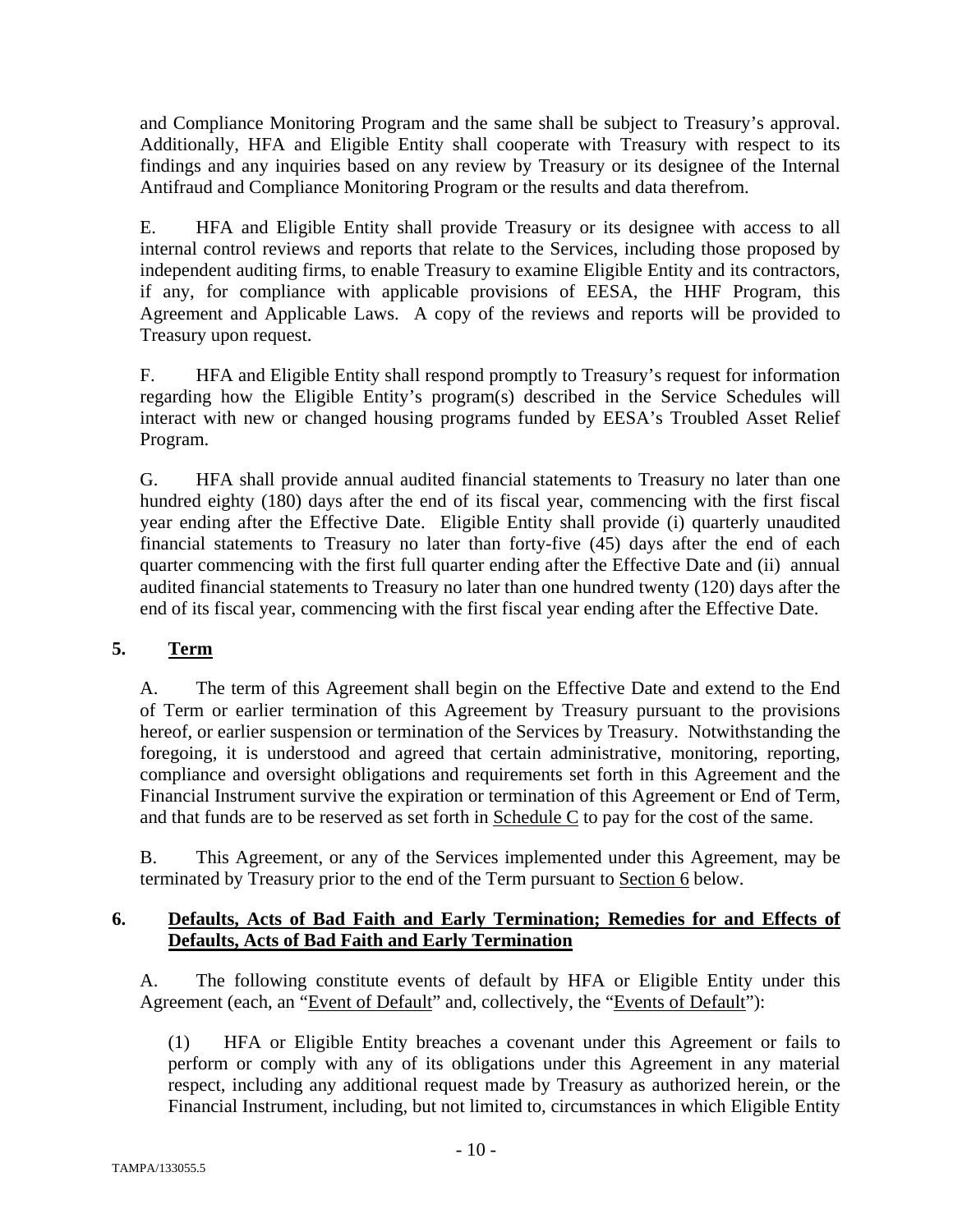and Compliance Monitoring Program and the same shall be subject to Treasury's approval. Additionally, HFA and Eligible Entity shall cooperate with Treasury with respect to its findings and any inquiries based on any review by Treasury or its designee of the Internal Antifraud and Compliance Monitoring Program or the results and data therefrom.

E. HFA and Eligible Entity shall provide Treasury or its designee with access to all internal control reviews and reports that relate to the Services, including those proposed by independent auditing firms, to enable Treasury to examine Eligible Entity and its contractors, if any, for compliance with applicable provisions of EESA, the HHF Program, this Agreement and Applicable Laws. A copy of the reviews and reports will be provided to Treasury upon request.

F. HFA and Eligible Entity shall respond promptly to Treasury's request for information regarding how the Eligible Entity's program(s) described in the Service Schedules will interact with new or changed housing programs funded by EESA's Troubled Asset Relief Program.

G. HFA shall provide annual audited financial statements to Treasury no later than one hundred eighty (180) days after the end of its fiscal year, commencing with the first fiscal year ending after the Effective Date. Eligible Entity shall provide (i) quarterly unaudited financial statements to Treasury no later than forty-five (45) days after the end of each quarter commencing with the first full quarter ending after the Effective Date and (ii) annual audited financial statements to Treasury no later than one hundred twenty (120) days after the end of its fiscal year, commencing with the first fiscal year ending after the Effective Date.

# **5. Term**

A. The term of this Agreement shall begin on the Effective Date and extend to the End of Term or earlier termination of this Agreement by Treasury pursuant to the provisions hereof, or earlier suspension or termination of the Services by Treasury. Notwithstanding the foregoing, it is understood and agreed that certain administrative, monitoring, reporting, compliance and oversight obligations and requirements set forth in this Agreement and the Financial Instrument survive the expiration or termination of this Agreement or End of Term, and that funds are to be reserved as set forth in Schedule C to pay for the cost of the same.

B. This Agreement, or any of the Services implemented under this Agreement, may be terminated by Treasury prior to the end of the Term pursuant to Section 6 below.

## **6. Defaults, Acts of Bad Faith and Early Termination; Remedies for and Effects of Defaults, Acts of Bad Faith and Early Termination**

A. The following constitute events of default by HFA or Eligible Entity under this Agreement (each, an "Event of Default" and, collectively, the "Events of Default"):

(1) HFA or Eligible Entity breaches a covenant under this Agreement or fails to perform or comply with any of its obligations under this Agreement in any material respect, including any additional request made by Treasury as authorized herein, or the Financial Instrument, including, but not limited to, circumstances in which Eligible Entity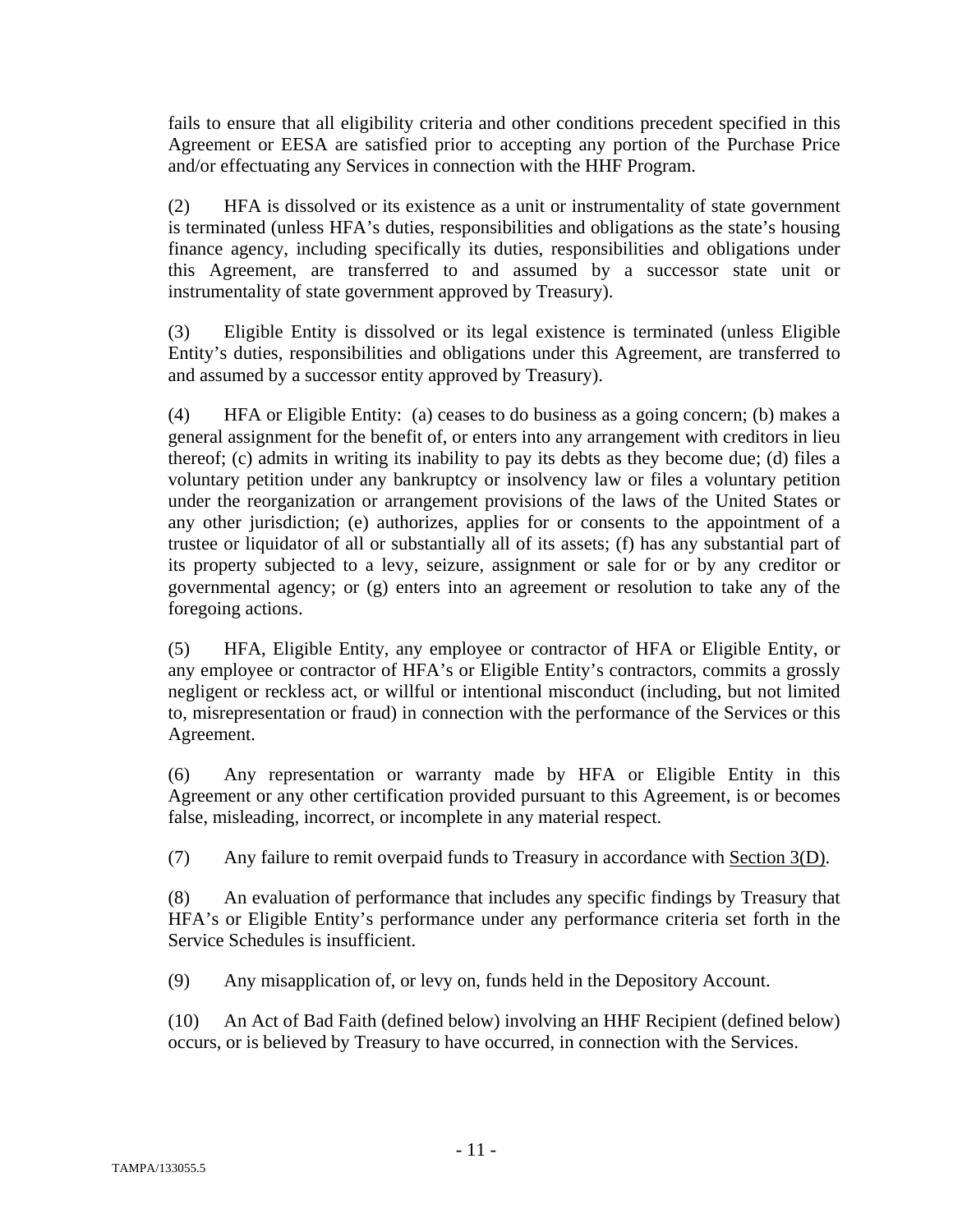fails to ensure that all eligibility criteria and other conditions precedent specified in this Agreement or EESA are satisfied prior to accepting any portion of the Purchase Price and/or effectuating any Services in connection with the HHF Program.

(2) HFA is dissolved or its existence as a unit or instrumentality of state government is terminated (unless HFA's duties, responsibilities and obligations as the state's housing finance agency, including specifically its duties, responsibilities and obligations under this Agreement, are transferred to and assumed by a successor state unit or instrumentality of state government approved by Treasury).

(3) Eligible Entity is dissolved or its legal existence is terminated (unless Eligible Entity's duties, responsibilities and obligations under this Agreement, are transferred to and assumed by a successor entity approved by Treasury).

(4) HFA or Eligible Entity: (a) ceases to do business as a going concern; (b) makes a general assignment for the benefit of, or enters into any arrangement with creditors in lieu thereof; (c) admits in writing its inability to pay its debts as they become due; (d) files a voluntary petition under any bankruptcy or insolvency law or files a voluntary petition under the reorganization or arrangement provisions of the laws of the United States or any other jurisdiction; (e) authorizes, applies for or consents to the appointment of a trustee or liquidator of all or substantially all of its assets; (f) has any substantial part of its property subjected to a levy, seizure, assignment or sale for or by any creditor or governmental agency; or (g) enters into an agreement or resolution to take any of the foregoing actions.

(5) HFA, Eligible Entity, any employee or contractor of HFA or Eligible Entity, or any employee or contractor of HFA's or Eligible Entity's contractors, commits a grossly negligent or reckless act, or willful or intentional misconduct (including, but not limited to, misrepresentation or fraud) in connection with the performance of the Services or this Agreement.

(6) Any representation or warranty made by HFA or Eligible Entity in this Agreement or any other certification provided pursuant to this Agreement, is or becomes false, misleading, incorrect, or incomplete in any material respect.

(7) Any failure to remit overpaid funds to Treasury in accordance with Section 3(D).

(8) An evaluation of performance that includes any specific findings by Treasury that HFA's or Eligible Entity's performance under any performance criteria set forth in the Service Schedules is insufficient.

(9) Any misapplication of, or levy on, funds held in the Depository Account.

(10) An Act of Bad Faith (defined below) involving an HHF Recipient (defined below) occurs, or is believed by Treasury to have occurred, in connection with the Services.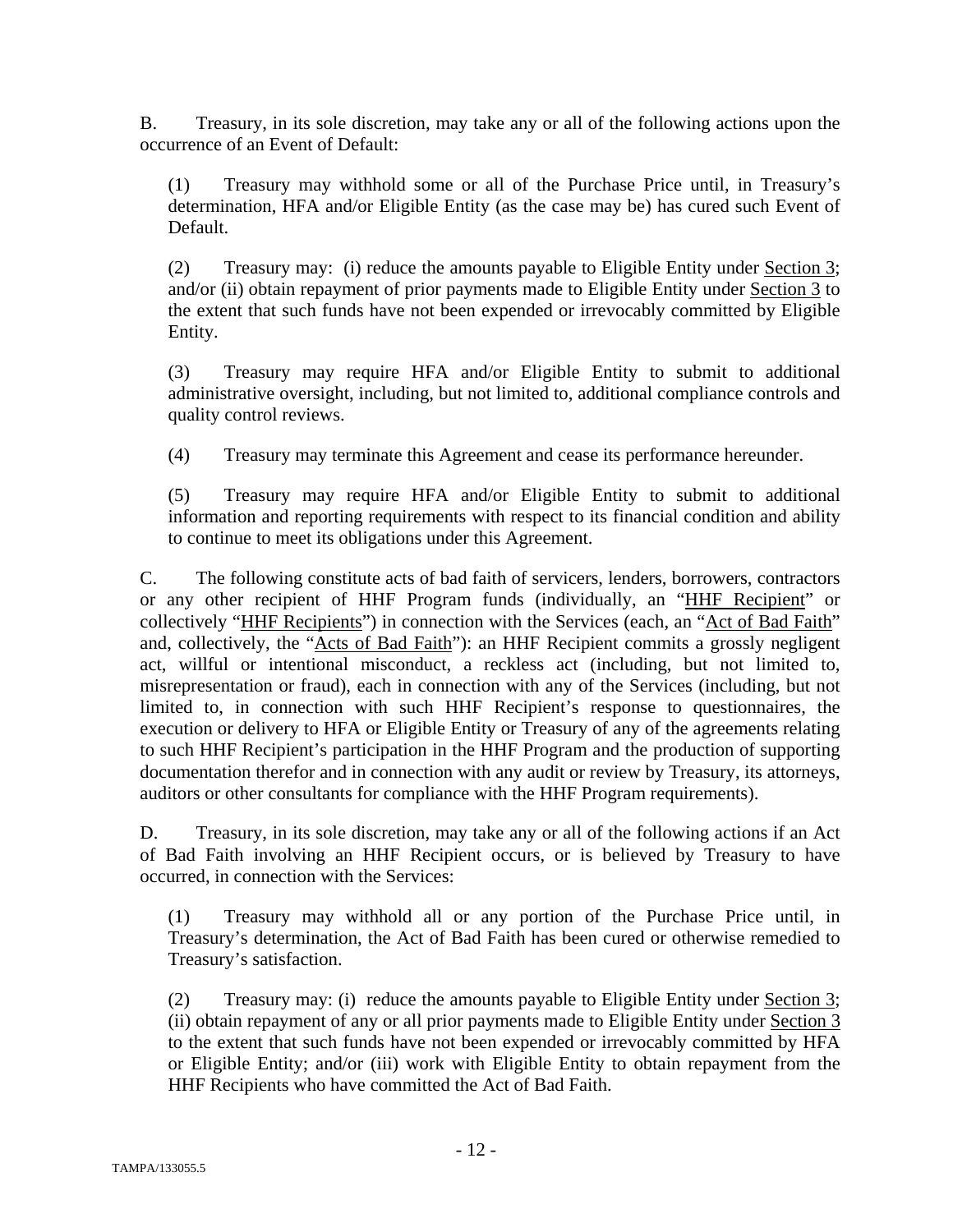B. Treasury, in its sole discretion, may take any or all of the following actions upon the occurrence of an Event of Default:

(1) Treasury may withhold some or all of the Purchase Price until, in Treasury's determination, HFA and/or Eligible Entity (as the case may be) has cured such Event of Default.

(2) Treasury may: (i) reduce the amounts payable to Eligible Entity under Section 3; and/or (ii) obtain repayment of prior payments made to Eligible Entity under Section 3 to the extent that such funds have not been expended or irrevocably committed by Eligible Entity.

(3) Treasury may require HFA and/or Eligible Entity to submit to additional administrative oversight, including, but not limited to, additional compliance controls and quality control reviews.

(4) Treasury may terminate this Agreement and cease its performance hereunder.

(5) Treasury may require HFA and/or Eligible Entity to submit to additional information and reporting requirements with respect to its financial condition and ability to continue to meet its obligations under this Agreement.

C. The following constitute acts of bad faith of servicers, lenders, borrowers, contractors or any other recipient of HHF Program funds (individually, an "HHF Recipient" or collectively "HHF Recipients") in connection with the Services (each, an "Act of Bad Faith" and, collectively, the "Acts of Bad Faith"): an HHF Recipient commits a grossly negligent act, willful or intentional misconduct, a reckless act (including, but not limited to, misrepresentation or fraud), each in connection with any of the Services (including, but not limited to, in connection with such HHF Recipient's response to questionnaires, the execution or delivery to HFA or Eligible Entity or Treasury of any of the agreements relating to such HHF Recipient's participation in the HHF Program and the production of supporting documentation therefor and in connection with any audit or review by Treasury, its attorneys, auditors or other consultants for compliance with the HHF Program requirements).

D. Treasury, in its sole discretion, may take any or all of the following actions if an Act of Bad Faith involving an HHF Recipient occurs, or is believed by Treasury to have occurred, in connection with the Services:

(1) Treasury may withhold all or any portion of the Purchase Price until, in Treasury's determination, the Act of Bad Faith has been cured or otherwise remedied to Treasury's satisfaction.

(2) Treasury may: (i) reduce the amounts payable to Eligible Entity under Section 3; (ii) obtain repayment of any or all prior payments made to Eligible Entity under Section 3 to the extent that such funds have not been expended or irrevocably committed by HFA or Eligible Entity; and/or (iii) work with Eligible Entity to obtain repayment from the HHF Recipients who have committed the Act of Bad Faith.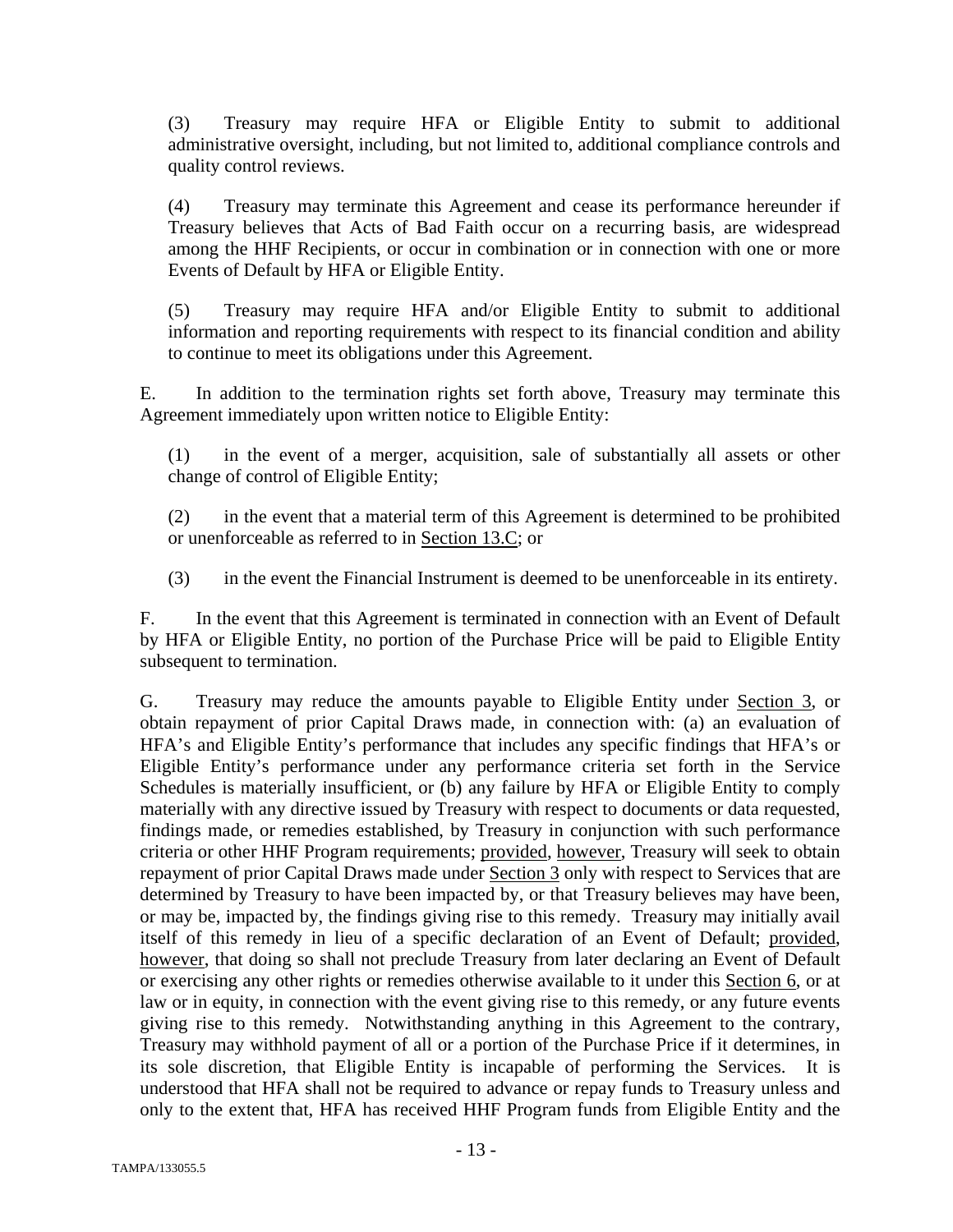(3) Treasury may require HFA or Eligible Entity to submit to additional administrative oversight, including, but not limited to, additional compliance controls and quality control reviews.

(4) Treasury may terminate this Agreement and cease its performance hereunder if Treasury believes that Acts of Bad Faith occur on a recurring basis, are widespread among the HHF Recipients, or occur in combination or in connection with one or more Events of Default by HFA or Eligible Entity.

(5) Treasury may require HFA and/or Eligible Entity to submit to additional information and reporting requirements with respect to its financial condition and ability to continue to meet its obligations under this Agreement.

E. In addition to the termination rights set forth above, Treasury may terminate this Agreement immediately upon written notice to Eligible Entity:

(1) in the event of a merger, acquisition, sale of substantially all assets or other change of control of Eligible Entity;

(2) in the event that a material term of this Agreement is determined to be prohibited or unenforceable as referred to in Section 13.C; or

(3) in the event the Financial Instrument is deemed to be unenforceable in its entirety.

F. In the event that this Agreement is terminated in connection with an Event of Default by HFA or Eligible Entity, no portion of the Purchase Price will be paid to Eligible Entity subsequent to termination.

G. Treasury may reduce the amounts payable to Eligible Entity under Section 3, or obtain repayment of prior Capital Draws made, in connection with: (a) an evaluation of HFA's and Eligible Entity's performance that includes any specific findings that HFA's or Eligible Entity's performance under any performance criteria set forth in the Service Schedules is materially insufficient, or (b) any failure by HFA or Eligible Entity to comply materially with any directive issued by Treasury with respect to documents or data requested, findings made, or remedies established, by Treasury in conjunction with such performance criteria or other HHF Program requirements; provided, however, Treasury will seek to obtain repayment of prior Capital Draws made under Section 3 only with respect to Services that are determined by Treasury to have been impacted by, or that Treasury believes may have been, or may be, impacted by, the findings giving rise to this remedy. Treasury may initially avail itself of this remedy in lieu of a specific declaration of an Event of Default; provided, however, that doing so shall not preclude Treasury from later declaring an Event of Default or exercising any other rights or remedies otherwise available to it under this Section 6, or at law or in equity, in connection with the event giving rise to this remedy, or any future events giving rise to this remedy. Notwithstanding anything in this Agreement to the contrary, Treasury may withhold payment of all or a portion of the Purchase Price if it determines, in its sole discretion, that Eligible Entity is incapable of performing the Services. It is understood that HFA shall not be required to advance or repay funds to Treasury unless and only to the extent that, HFA has received HHF Program funds from Eligible Entity and the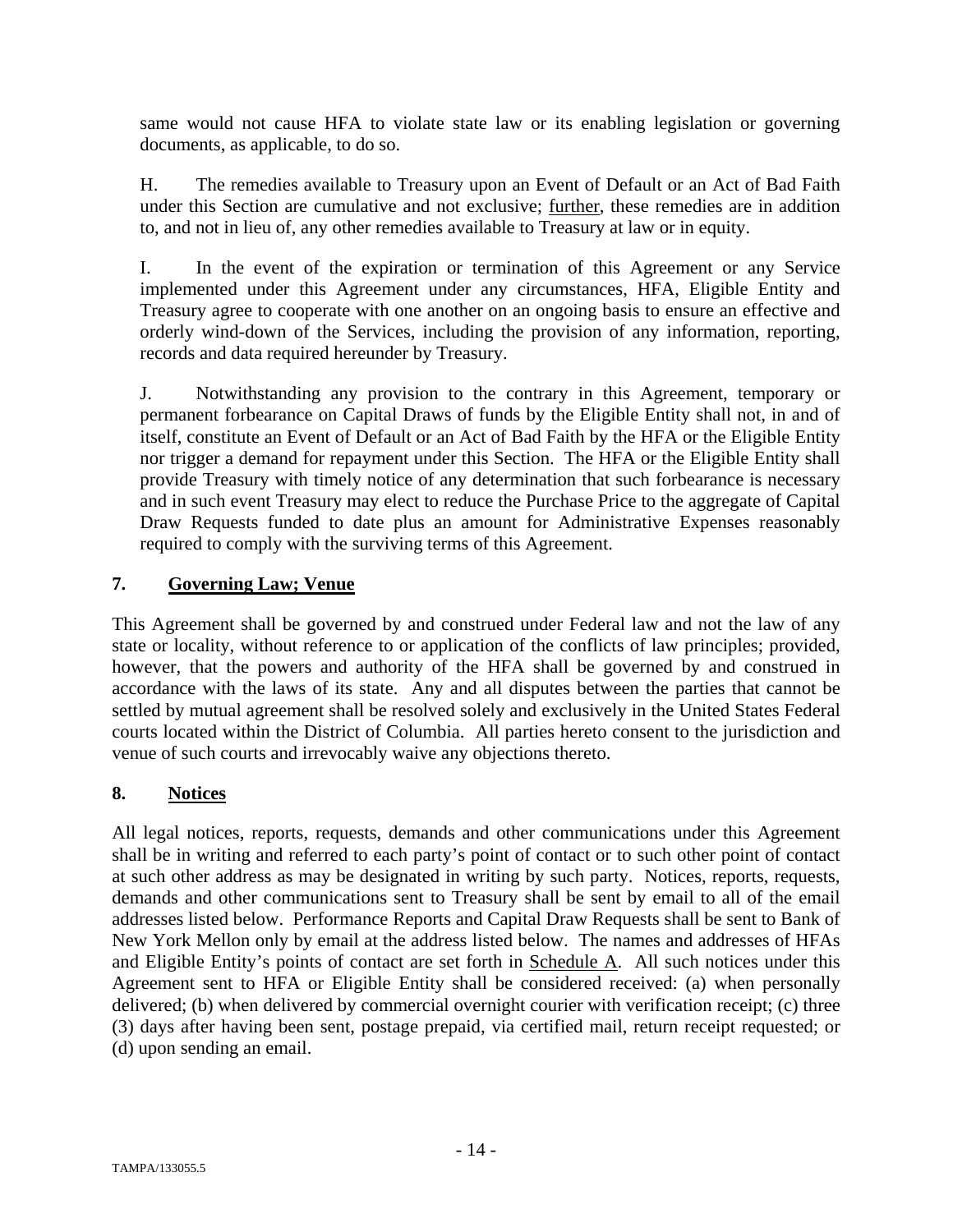same would not cause HFA to violate state law or its enabling legislation or governing documents, as applicable, to do so.

H. The remedies available to Treasury upon an Event of Default or an Act of Bad Faith under this Section are cumulative and not exclusive; further, these remedies are in addition to, and not in lieu of, any other remedies available to Treasury at law or in equity.

I. In the event of the expiration or termination of this Agreement or any Service implemented under this Agreement under any circumstances, HFA, Eligible Entity and Treasury agree to cooperate with one another on an ongoing basis to ensure an effective and orderly wind-down of the Services, including the provision of any information, reporting, records and data required hereunder by Treasury.

J. Notwithstanding any provision to the contrary in this Agreement, temporary or permanent forbearance on Capital Draws of funds by the Eligible Entity shall not, in and of itself, constitute an Event of Default or an Act of Bad Faith by the HFA or the Eligible Entity nor trigger a demand for repayment under this Section. The HFA or the Eligible Entity shall provide Treasury with timely notice of any determination that such forbearance is necessary and in such event Treasury may elect to reduce the Purchase Price to the aggregate of Capital Draw Requests funded to date plus an amount for Administrative Expenses reasonably required to comply with the surviving terms of this Agreement.

## **7. Governing Law; Venue**

This Agreement shall be governed by and construed under Federal law and not the law of any state or locality, without reference to or application of the conflicts of law principles; provided, however, that the powers and authority of the HFA shall be governed by and construed in accordance with the laws of its state. Any and all disputes between the parties that cannot be settled by mutual agreement shall be resolved solely and exclusively in the United States Federal courts located within the District of Columbia. All parties hereto consent to the jurisdiction and venue of such courts and irrevocably waive any objections thereto.

# **8. Notices**

All legal notices, reports, requests, demands and other communications under this Agreement shall be in writing and referred to each party's point of contact or to such other point of contact at such other address as may be designated in writing by such party. Notices, reports, requests, demands and other communications sent to Treasury shall be sent by email to all of the email addresses listed below. Performance Reports and Capital Draw Requests shall be sent to Bank of New York Mellon only by email at the address listed below. The names and addresses of HFAs and Eligible Entity's points of contact are set forth in Schedule A. All such notices under this Agreement sent to HFA or Eligible Entity shall be considered received: (a) when personally delivered; (b) when delivered by commercial overnight courier with verification receipt; (c) three (3) days after having been sent, postage prepaid, via certified mail, return receipt requested; or (d) upon sending an email.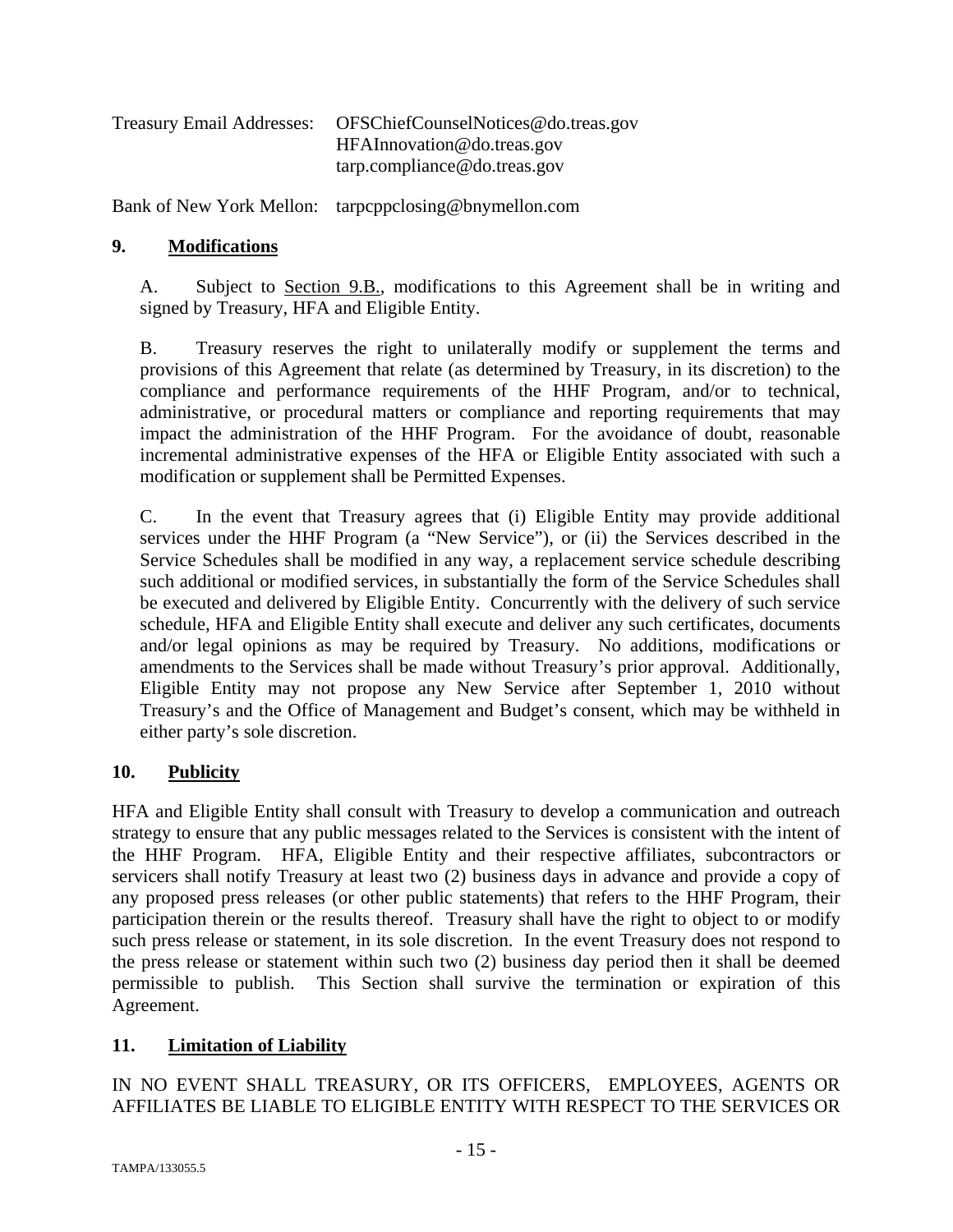| OFSChiefCounselNotices@do.treas.gov |
|-------------------------------------|
| HFAInnovation@do.treas.gov          |
| tarp.compileance@do.treas.gov       |
|                                     |

Bank of New York Mellon: tarpcppclosing@bnymellon.com

#### **9. Modifications**

A. Subject to Section 9.B., modifications to this Agreement shall be in writing and signed by Treasury, HFA and Eligible Entity.

B. Treasury reserves the right to unilaterally modify or supplement the terms and provisions of this Agreement that relate (as determined by Treasury, in its discretion) to the compliance and performance requirements of the HHF Program, and/or to technical, administrative, or procedural matters or compliance and reporting requirements that may impact the administration of the HHF Program. For the avoidance of doubt, reasonable incremental administrative expenses of the HFA or Eligible Entity associated with such a modification or supplement shall be Permitted Expenses.

C. In the event that Treasury agrees that (i) Eligible Entity may provide additional services under the HHF Program (a "New Service"), or (ii) the Services described in the Service Schedules shall be modified in any way, a replacement service schedule describing such additional or modified services, in substantially the form of the Service Schedules shall be executed and delivered by Eligible Entity. Concurrently with the delivery of such service schedule, HFA and Eligible Entity shall execute and deliver any such certificates, documents and/or legal opinions as may be required by Treasury. No additions, modifications or amendments to the Services shall be made without Treasury's prior approval. Additionally, Eligible Entity may not propose any New Service after September 1, 2010 without Treasury's and the Office of Management and Budget's consent, which may be withheld in either party's sole discretion.

## **10. Publicity**

HFA and Eligible Entity shall consult with Treasury to develop a communication and outreach strategy to ensure that any public messages related to the Services is consistent with the intent of the HHF Program. HFA, Eligible Entity and their respective affiliates, subcontractors or servicers shall notify Treasury at least two (2) business days in advance and provide a copy of any proposed press releases (or other public statements) that refers to the HHF Program, their participation therein or the results thereof. Treasury shall have the right to object to or modify such press release or statement, in its sole discretion. In the event Treasury does not respond to the press release or statement within such two (2) business day period then it shall be deemed permissible to publish. This Section shall survive the termination or expiration of this Agreement.

## **11. Limitation of Liability**

IN NO EVENT SHALL TREASURY, OR ITS OFFICERS, EMPLOYEES, AGENTS OR AFFILIATES BE LIABLE TO ELIGIBLE ENTITY WITH RESPECT TO THE SERVICES OR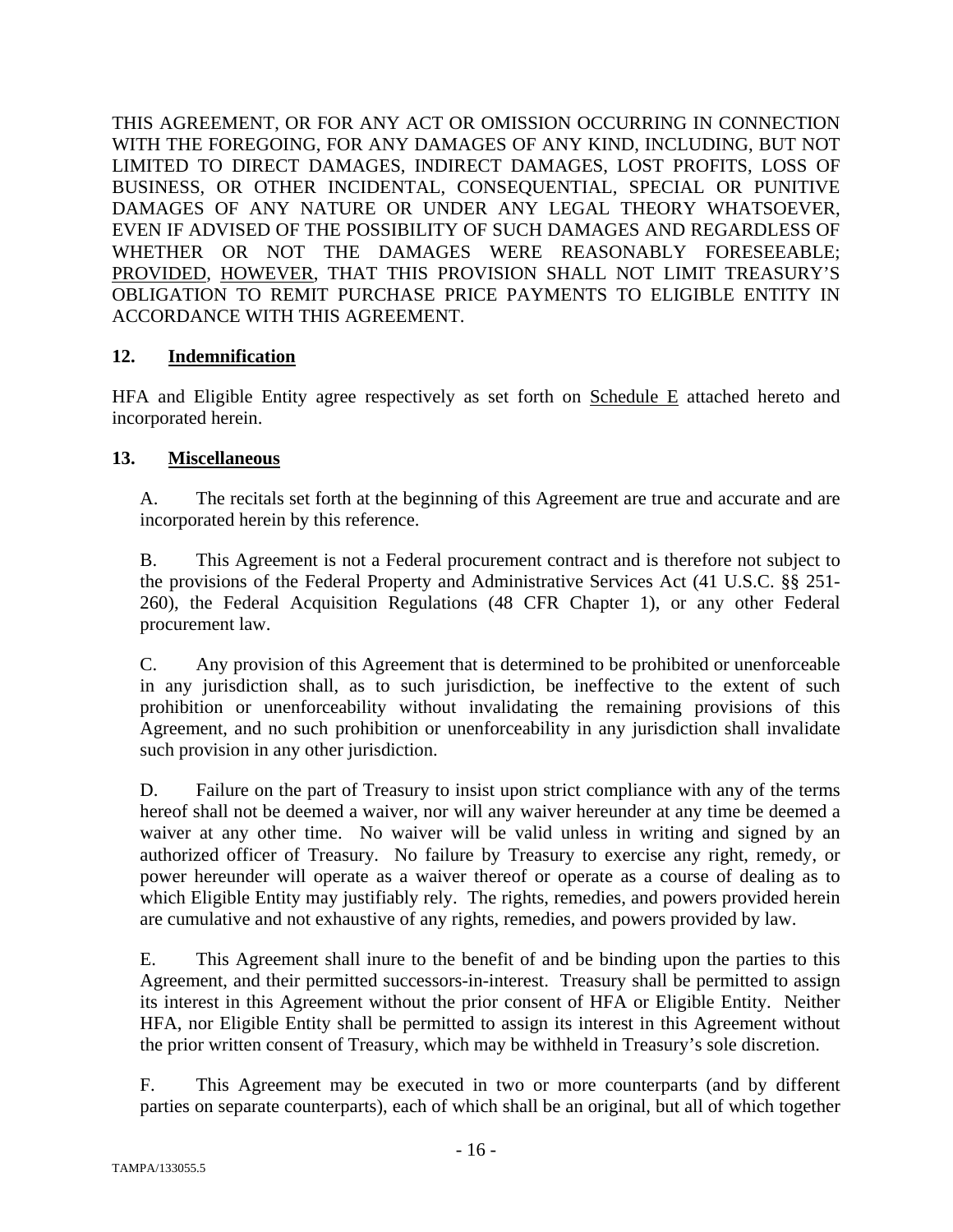THIS AGREEMENT, OR FOR ANY ACT OR OMISSION OCCURRING IN CONNECTION WITH THE FOREGOING, FOR ANY DAMAGES OF ANY KIND, INCLUDING, BUT NOT LIMITED TO DIRECT DAMAGES, INDIRECT DAMAGES, LOST PROFITS, LOSS OF BUSINESS, OR OTHER INCIDENTAL, CONSEQUENTIAL, SPECIAL OR PUNITIVE DAMAGES OF ANY NATURE OR UNDER ANY LEGAL THEORY WHATSOEVER, EVEN IF ADVISED OF THE POSSIBILITY OF SUCH DAMAGES AND REGARDLESS OF WHETHER OR NOT THE DAMAGES WERE REASONABLY FORESEEABLE; PROVIDED, HOWEVER, THAT THIS PROVISION SHALL NOT LIMIT TREASURY'S OBLIGATION TO REMIT PURCHASE PRICE PAYMENTS TO ELIGIBLE ENTITY IN ACCORDANCE WITH THIS AGREEMENT.

## **12. Indemnification**

HFA and Eligible Entity agree respectively as set forth on Schedule E attached hereto and incorporated herein.

# **13. Miscellaneous**

A. The recitals set forth at the beginning of this Agreement are true and accurate and are incorporated herein by this reference.

B. This Agreement is not a Federal procurement contract and is therefore not subject to the provisions of the Federal Property and Administrative Services Act (41 U.S.C. §§ 251- 260), the Federal Acquisition Regulations (48 CFR Chapter 1), or any other Federal procurement law.

C. Any provision of this Agreement that is determined to be prohibited or unenforceable in any jurisdiction shall, as to such jurisdiction, be ineffective to the extent of such prohibition or unenforceability without invalidating the remaining provisions of this Agreement, and no such prohibition or unenforceability in any jurisdiction shall invalidate such provision in any other jurisdiction.

D. Failure on the part of Treasury to insist upon strict compliance with any of the terms hereof shall not be deemed a waiver, nor will any waiver hereunder at any time be deemed a waiver at any other time. No waiver will be valid unless in writing and signed by an authorized officer of Treasury. No failure by Treasury to exercise any right, remedy, or power hereunder will operate as a waiver thereof or operate as a course of dealing as to which Eligible Entity may justifiably rely. The rights, remedies, and powers provided herein are cumulative and not exhaustive of any rights, remedies, and powers provided by law.

E. This Agreement shall inure to the benefit of and be binding upon the parties to this Agreement, and their permitted successors-in-interest. Treasury shall be permitted to assign its interest in this Agreement without the prior consent of HFA or Eligible Entity. Neither HFA, nor Eligible Entity shall be permitted to assign its interest in this Agreement without the prior written consent of Treasury, which may be withheld in Treasury's sole discretion.

F. This Agreement may be executed in two or more counterparts (and by different parties on separate counterparts), each of which shall be an original, but all of which together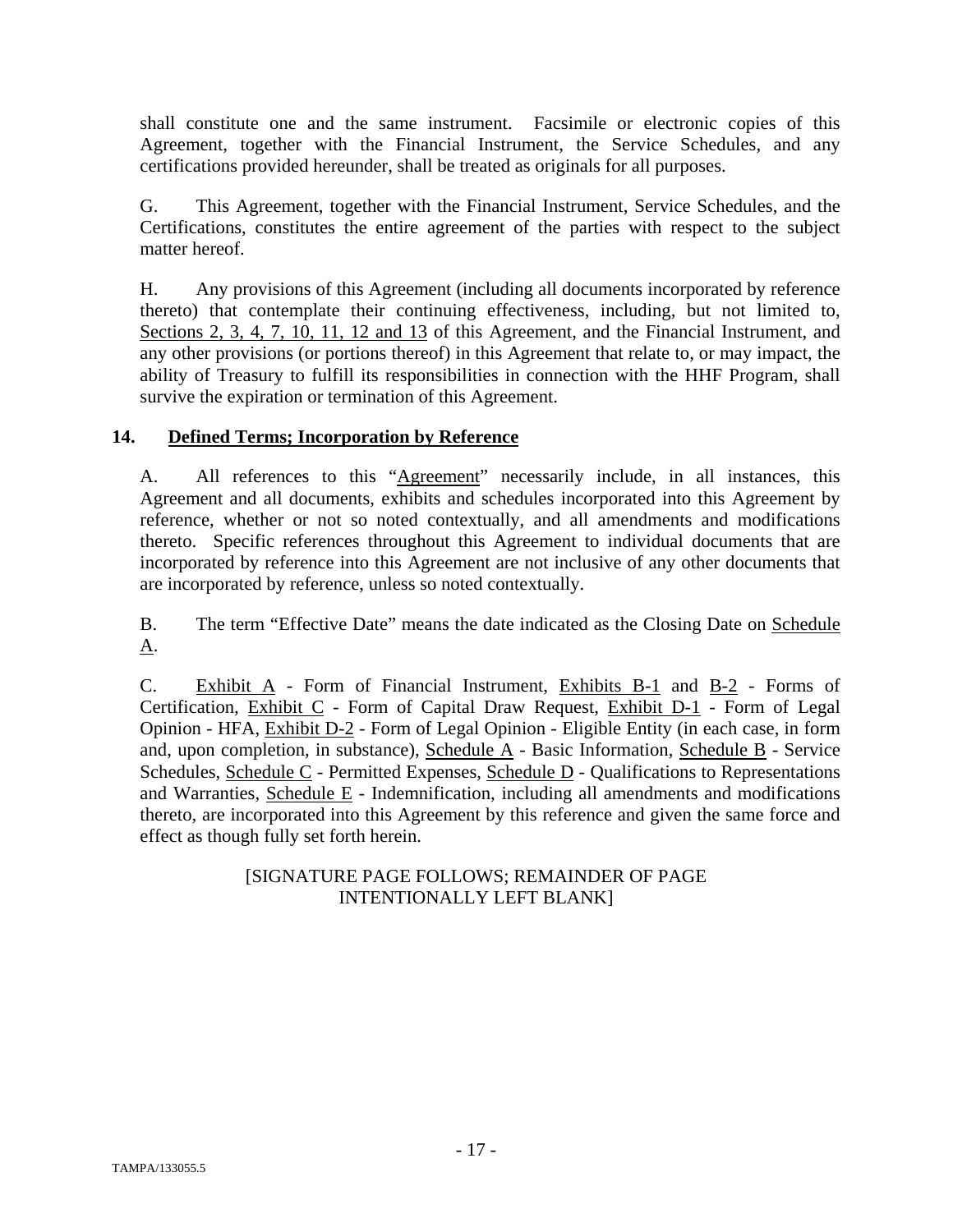shall constitute one and the same instrument. Facsimile or electronic copies of this Agreement, together with the Financial Instrument, the Service Schedules, and any certifications provided hereunder, shall be treated as originals for all purposes.

G. This Agreement, together with the Financial Instrument, Service Schedules, and the Certifications, constitutes the entire agreement of the parties with respect to the subject matter hereof.

H. Any provisions of this Agreement (including all documents incorporated by reference thereto) that contemplate their continuing effectiveness, including, but not limited to, Sections 2, 3, 4, 7, 10, 11, 12 and 13 of this Agreement, and the Financial Instrument, and any other provisions (or portions thereof) in this Agreement that relate to, or may impact, the ability of Treasury to fulfill its responsibilities in connection with the HHF Program, shall survive the expiration or termination of this Agreement.

# **14. Defined Terms; Incorporation by Reference**

A. All references to this "Agreement" necessarily include, in all instances, this Agreement and all documents, exhibits and schedules incorporated into this Agreement by reference, whether or not so noted contextually, and all amendments and modifications thereto. Specific references throughout this Agreement to individual documents that are incorporated by reference into this Agreement are not inclusive of any other documents that are incorporated by reference, unless so noted contextually.

B. The term "Effective Date" means the date indicated as the Closing Date on Schedule A.

C. Exhibit A - Form of Financial Instrument, Exhibits B-1 and B-2 - Forms of Certification, Exhibit C - Form of Capital Draw Request, Exhibit D-1 - Form of Legal Opinion - HFA, Exhibit D-2 - Form of Legal Opinion - Eligible Entity (in each case, in form and, upon completion, in substance), Schedule A - Basic Information, Schedule B - Service Schedules, Schedule C - Permitted Expenses, Schedule D - Qualifications to Representations and Warranties, Schedule E - Indemnification, including all amendments and modifications thereto, are incorporated into this Agreement by this reference and given the same force and effect as though fully set forth herein.

# [SIGNATURE PAGE FOLLOWS; REMAINDER OF PAGE INTENTIONALLY LEFT BLANK]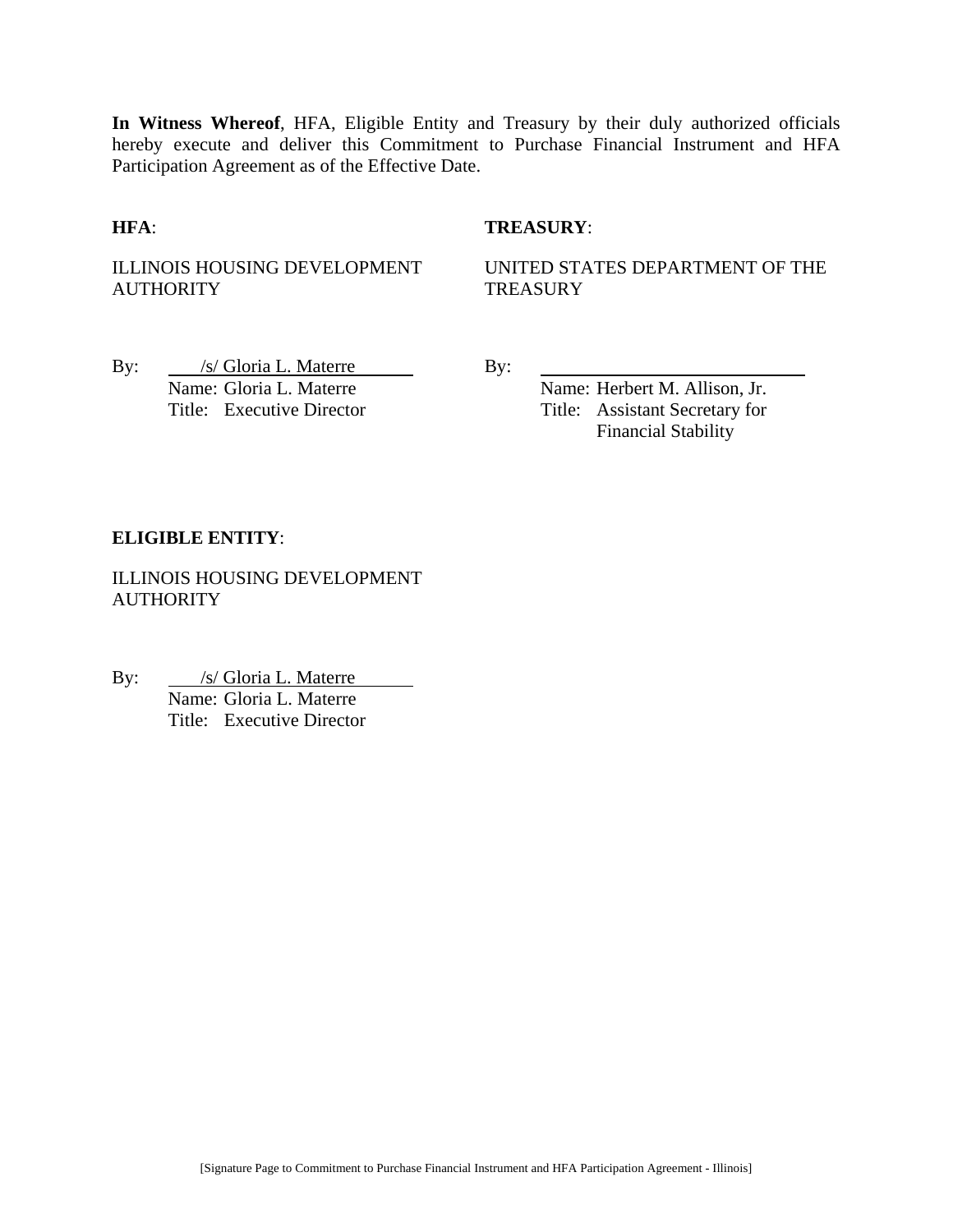**In Witness Whereof**, HFA, Eligible Entity and Treasury by their duly authorized officials hereby execute and deliver this Commitment to Purchase Financial Instrument and HFA Participation Agreement as of the Effective Date.

#### **HFA**: **TREASURY**:

ILLINOIS HOUSING DEVELOPMENT **AUTHORITY** 

UNITED STATES DEPARTMENT OF THE **TREASURY** 

By: /s/ Gloria L. Materre By: Name: Gloria L. Materre Name: Herbert M. Allison, Jr.

Title: Executive Director Title: Assistant Secretary for Financial Stability

#### **ELIGIBLE ENTITY**:

ILLINOIS HOUSING DEVELOPMENT **AUTHORITY** 

By: /s/ Gloria L. Materre *S* Gioria L. Materre<br>Name: Gloria L. Materre Title: Executive Director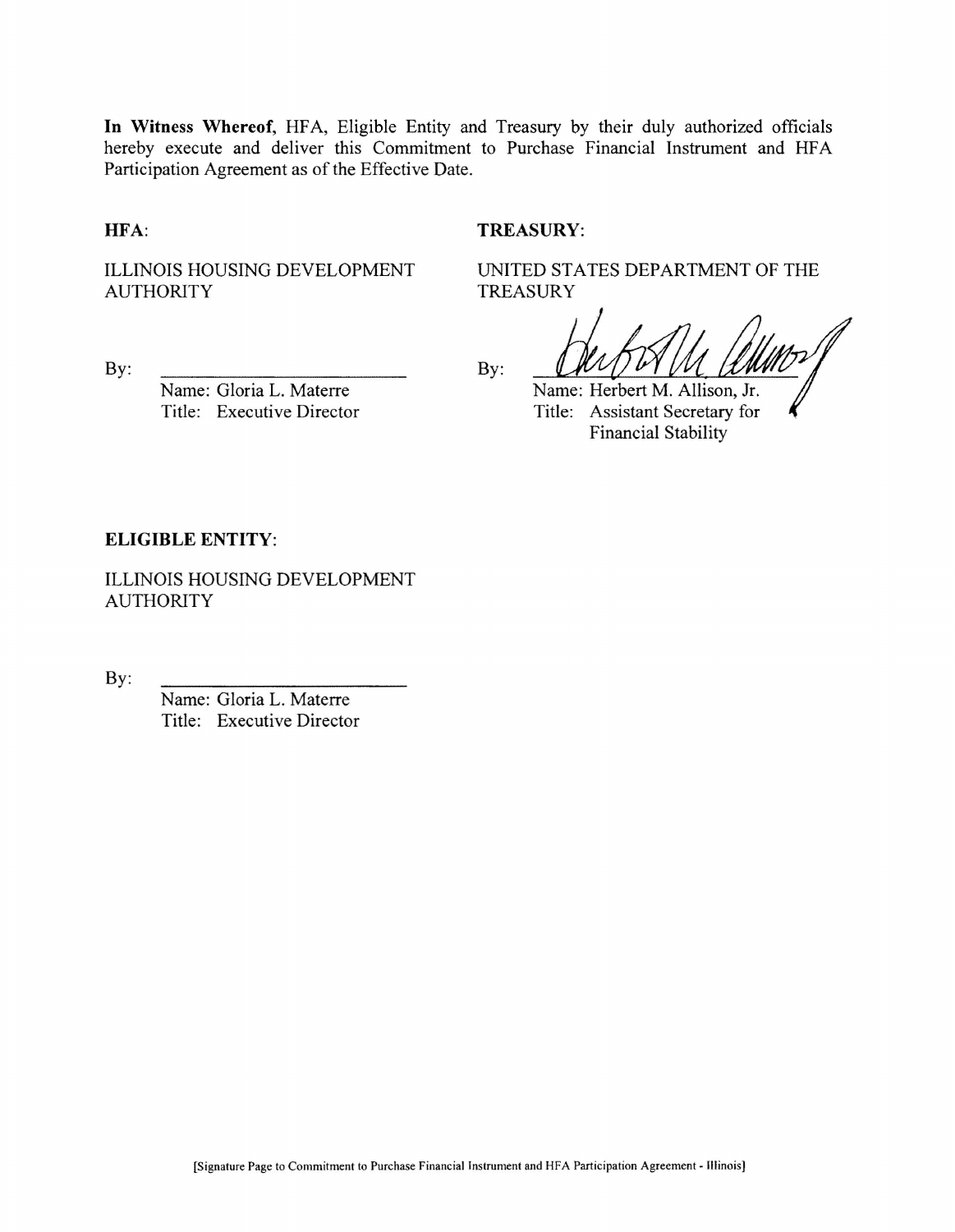In Witness Whereof, HFA, Eligible Entity and Treasury by their duly authorized officials hereby execute and deliver this Commitment to Purchase Financial Instrument and HFA Participation Agreement as of the Effective Date.

HFA:

#### **TREASURY:**

**TREASURY** 

**ILLINOIS HOUSING DEVELOPMENT AUTHORITY** 

By:

Name: Gloria L. Materre Title: Executive Director By:

Name: Herbert M. Allison, Jr. Title: Assistant Secretary for **Financial Stability** 

UNITED STATES DEPARTMENT OF THE

#### **ELIGIBLE ENTITY:**

**ILLINOIS HOUSING DEVELOPMENT AUTHORITY** 

By:

Name: Gloria L. Materre Title: Executive Director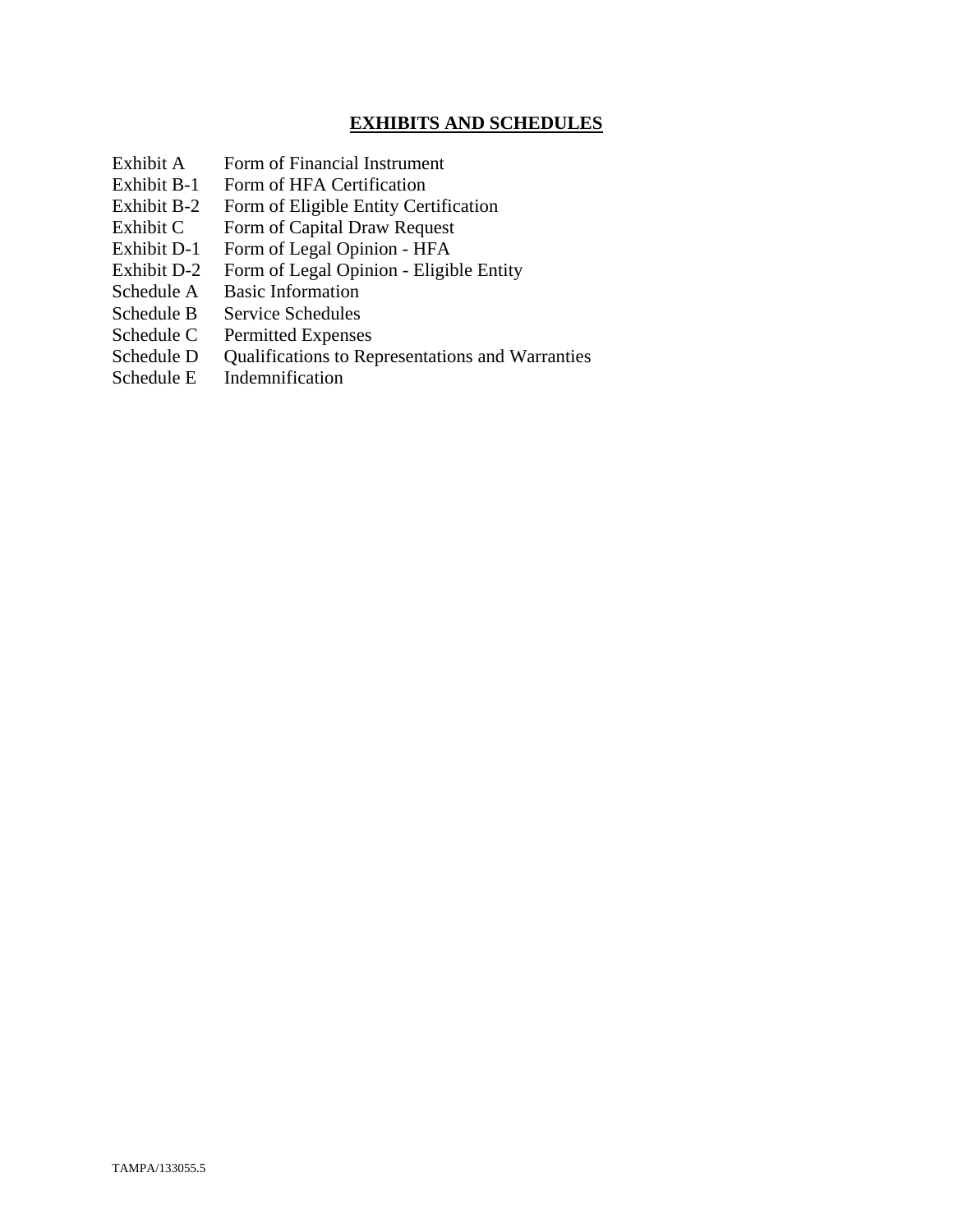## **EXHIBITS AND SCHEDULES**

- Exhibit A Form of Financial Instrument
- Exhibit B-1 Form of HFA Certification
- Exhibit B-2 Form of Eligible Entity Certification
- Exhibit C Form of Capital Draw Request
- Exhibit D-1 Form of Legal Opinion HFA
- Exhibit D-2 Form of Legal Opinion Eligible Entity
- Schedule A Basic Information
- Schedule B Service Schedules
- Schedule C Permitted Expenses
- Schedule D Qualifications to Representations and Warranties
- Schedule E Indemnification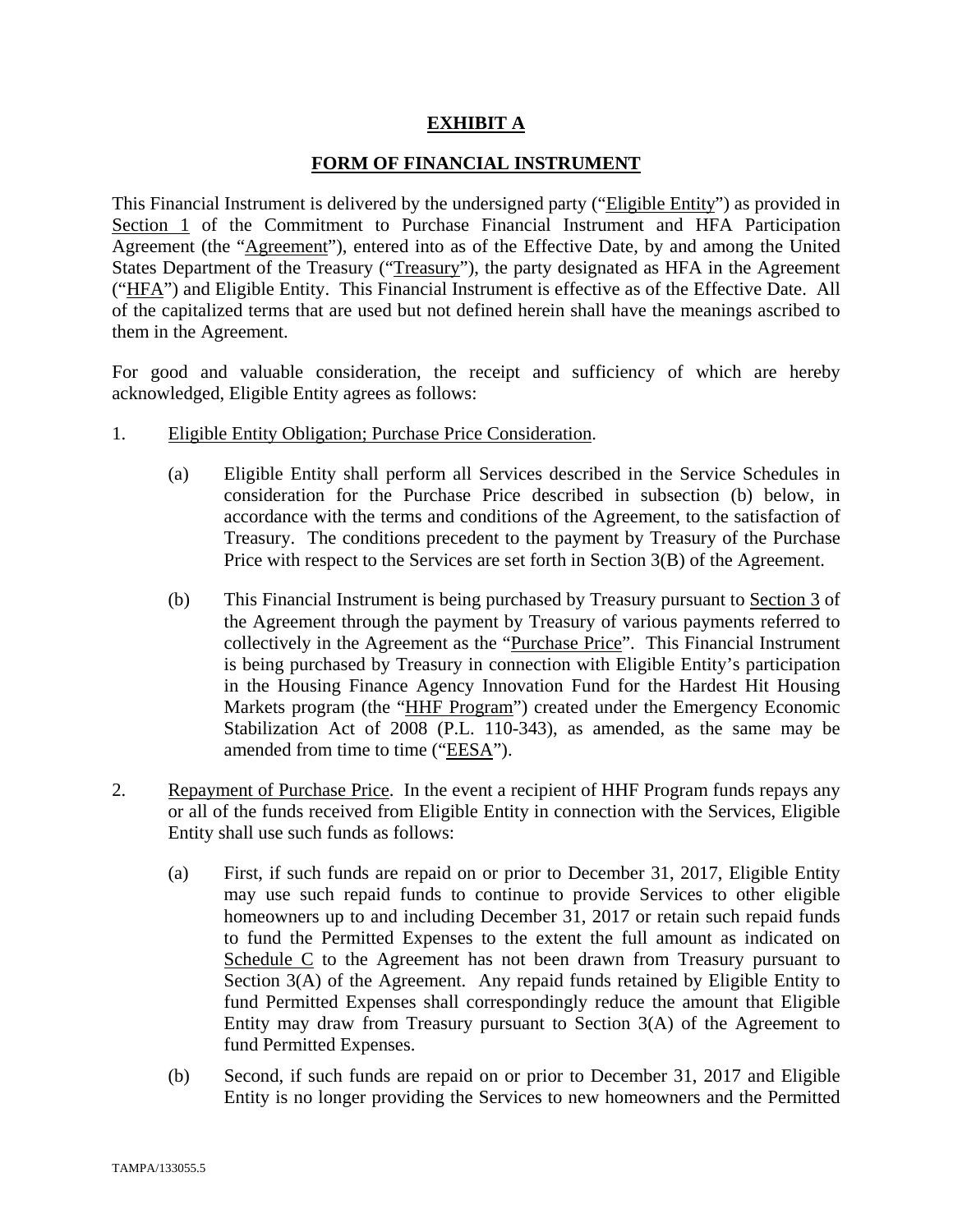#### **EXHIBIT A**

#### **FORM OF FINANCIAL INSTRUMENT**

This Financial Instrument is delivered by the undersigned party ("Eligible Entity") as provided in Section 1 of the Commitment to Purchase Financial Instrument and HFA Participation Agreement (the "Agreement"), entered into as of the Effective Date, by and among the United States Department of the Treasury ("Treasury"), the party designated as HFA in the Agreement ("HFA") and Eligible Entity. This Financial Instrument is effective as of the Effective Date. All of the capitalized terms that are used but not defined herein shall have the meanings ascribed to them in the Agreement.

For good and valuable consideration, the receipt and sufficiency of which are hereby acknowledged, Eligible Entity agrees as follows:

- 1. Eligible Entity Obligation; Purchase Price Consideration.
	- (a) Eligible Entity shall perform all Services described in the Service Schedules in consideration for the Purchase Price described in subsection (b) below, in accordance with the terms and conditions of the Agreement, to the satisfaction of Treasury. The conditions precedent to the payment by Treasury of the Purchase Price with respect to the Services are set forth in Section 3(B) of the Agreement.
	- (b) This Financial Instrument is being purchased by Treasury pursuant to Section 3 of the Agreement through the payment by Treasury of various payments referred to collectively in the Agreement as the "Purchase Price". This Financial Instrument is being purchased by Treasury in connection with Eligible Entity's participation in the Housing Finance Agency Innovation Fund for the Hardest Hit Housing Markets program (the "HHF Program") created under the Emergency Economic Stabilization Act of 2008 (P.L. 110-343), as amended, as the same may be amended from time to time ("EESA").
- 2. Repayment of Purchase Price. In the event a recipient of HHF Program funds repays any or all of the funds received from Eligible Entity in connection with the Services, Eligible Entity shall use such funds as follows:
	- (a) First, if such funds are repaid on or prior to December 31, 2017, Eligible Entity may use such repaid funds to continue to provide Services to other eligible homeowners up to and including December 31, 2017 or retain such repaid funds to fund the Permitted Expenses to the extent the full amount as indicated on Schedule C to the Agreement has not been drawn from Treasury pursuant to Section 3(A) of the Agreement. Any repaid funds retained by Eligible Entity to fund Permitted Expenses shall correspondingly reduce the amount that Eligible Entity may draw from Treasury pursuant to Section 3(A) of the Agreement to fund Permitted Expenses.
	- (b) Second, if such funds are repaid on or prior to December 31, 2017 and Eligible Entity is no longer providing the Services to new homeowners and the Permitted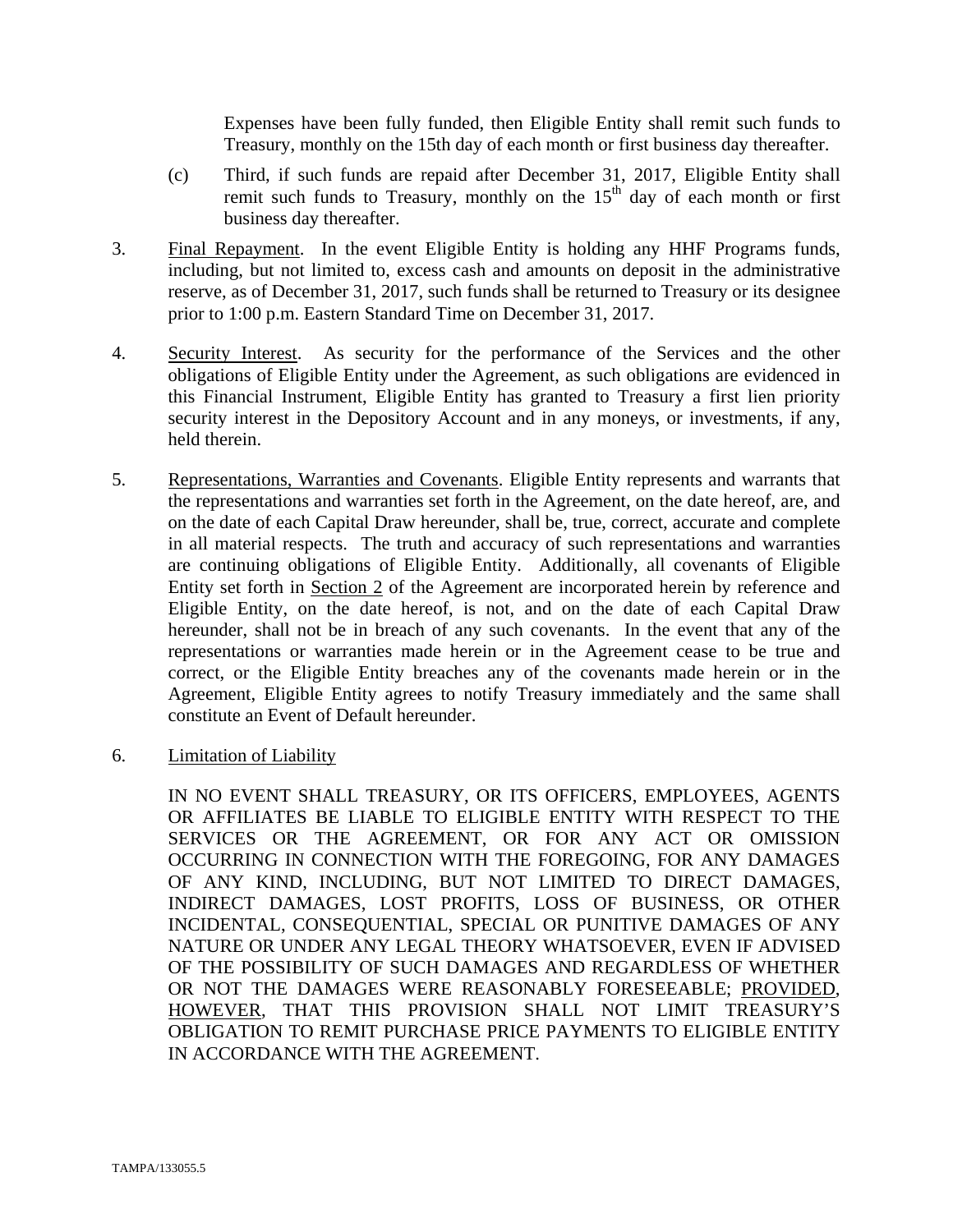Expenses have been fully funded, then Eligible Entity shall remit such funds to Treasury, monthly on the 15th day of each month or first business day thereafter.

- (c) Third, if such funds are repaid after December 31, 2017, Eligible Entity shall remit such funds to Treasury, monthly on the  $15<sup>th</sup>$  day of each month or first business day thereafter.
- 3. Final Repayment. In the event Eligible Entity is holding any HHF Programs funds, including, but not limited to, excess cash and amounts on deposit in the administrative reserve, as of December 31, 2017, such funds shall be returned to Treasury or its designee prior to 1:00 p.m. Eastern Standard Time on December 31, 2017.
- 4. Security Interest. As security for the performance of the Services and the other obligations of Eligible Entity under the Agreement, as such obligations are evidenced in this Financial Instrument, Eligible Entity has granted to Treasury a first lien priority security interest in the Depository Account and in any moneys, or investments, if any, held therein.
- 5. Representations, Warranties and Covenants. Eligible Entity represents and warrants that the representations and warranties set forth in the Agreement, on the date hereof, are, and on the date of each Capital Draw hereunder, shall be, true, correct, accurate and complete in all material respects. The truth and accuracy of such representations and warranties are continuing obligations of Eligible Entity. Additionally, all covenants of Eligible Entity set forth in Section 2 of the Agreement are incorporated herein by reference and Eligible Entity, on the date hereof, is not, and on the date of each Capital Draw hereunder, shall not be in breach of any such covenants. In the event that any of the representations or warranties made herein or in the Agreement cease to be true and correct, or the Eligible Entity breaches any of the covenants made herein or in the Agreement, Eligible Entity agrees to notify Treasury immediately and the same shall constitute an Event of Default hereunder.
- 6. Limitation of Liability

IN NO EVENT SHALL TREASURY, OR ITS OFFICERS, EMPLOYEES, AGENTS OR AFFILIATES BE LIABLE TO ELIGIBLE ENTITY WITH RESPECT TO THE SERVICES OR THE AGREEMENT, OR FOR ANY ACT OR OMISSION OCCURRING IN CONNECTION WITH THE FOREGOING, FOR ANY DAMAGES OF ANY KIND, INCLUDING, BUT NOT LIMITED TO DIRECT DAMAGES, INDIRECT DAMAGES, LOST PROFITS, LOSS OF BUSINESS, OR OTHER INCIDENTAL, CONSEQUENTIAL, SPECIAL OR PUNITIVE DAMAGES OF ANY NATURE OR UNDER ANY LEGAL THEORY WHATSOEVER, EVEN IF ADVISED OF THE POSSIBILITY OF SUCH DAMAGES AND REGARDLESS OF WHETHER OR NOT THE DAMAGES WERE REASONABLY FORESEEABLE; PROVIDED, HOWEVER, THAT THIS PROVISION SHALL NOT LIMIT TREASURY'S OBLIGATION TO REMIT PURCHASE PRICE PAYMENTS TO ELIGIBLE ENTITY IN ACCORDANCE WITH THE AGREEMENT.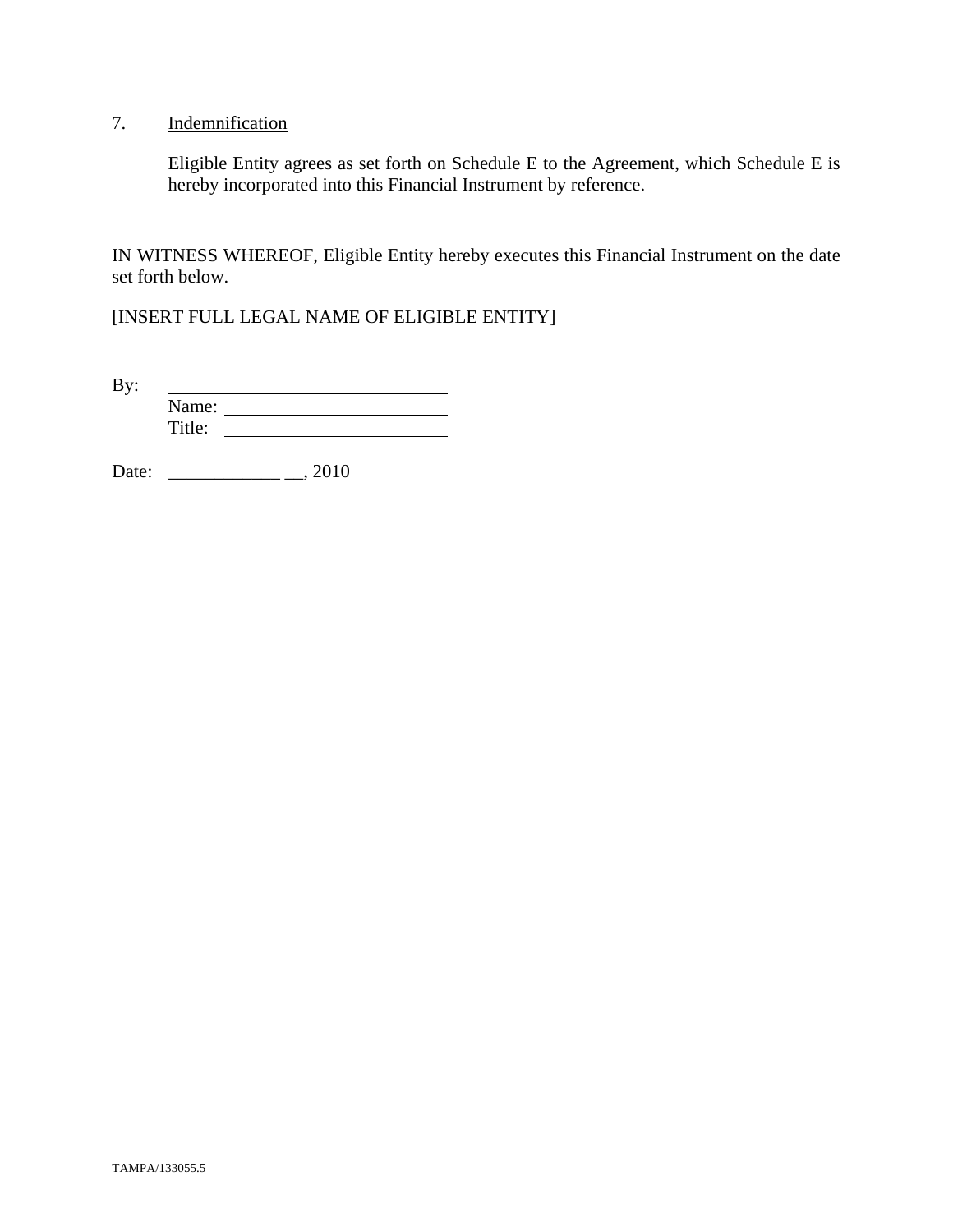# 7. Indemnification

Eligible Entity agrees as set forth on  $S$ chedule E to the Agreement, which  $S$ chedule E is hereby incorporated into this Financial Instrument by reference.

IN WITNESS WHEREOF, Eligible Entity hereby executes this Financial Instrument on the date set forth below.

[INSERT FULL LEGAL NAME OF ELIGIBLE ENTITY]

By: <u> 1989 - Johann Barbara, martin a</u> Name: Title:

Date: \_\_\_\_\_\_\_\_\_\_\_\_ \_\_, 2010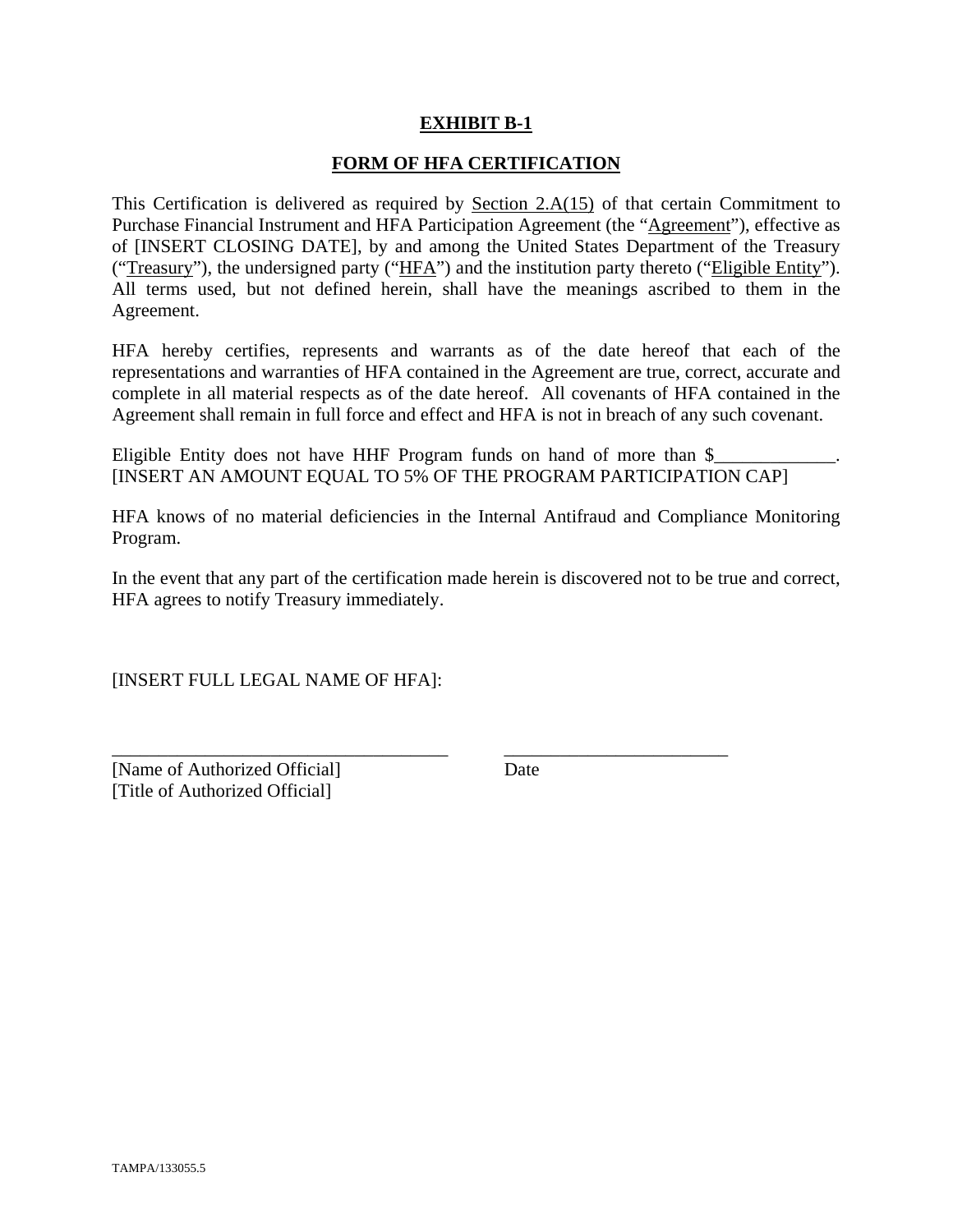#### **EXHIBIT B-1**

#### **FORM OF HFA CERTIFICATION**

This Certification is delivered as required by Section  $2.A(15)$  of that certain Commitment to Purchase Financial Instrument and HFA Participation Agreement (the "Agreement"), effective as of [INSERT CLOSING DATE], by and among the United States Department of the Treasury ("Treasury"), the undersigned party ("HFA") and the institution party thereto ("Eligible Entity"). All terms used, but not defined herein, shall have the meanings ascribed to them in the Agreement.

HFA hereby certifies, represents and warrants as of the date hereof that each of the representations and warranties of HFA contained in the Agreement are true, correct, accurate and complete in all material respects as of the date hereof. All covenants of HFA contained in the Agreement shall remain in full force and effect and HFA is not in breach of any such covenant.

Eligible Entity does not have HHF Program funds on hand of more than  $\frac{1}{2}$ [INSERT AN AMOUNT EQUAL TO 5% OF THE PROGRAM PARTICIPATION CAP]

HFA knows of no material deficiencies in the Internal Antifraud and Compliance Monitoring Program.

In the event that any part of the certification made herein is discovered not to be true and correct, HFA agrees to notify Treasury immediately.

\_\_\_\_\_\_\_\_\_\_\_\_\_\_\_\_\_\_\_\_\_\_\_\_\_\_\_\_\_\_\_\_\_\_\_\_ \_\_\_\_\_\_\_\_\_\_\_\_\_\_\_\_\_\_\_\_\_\_\_\_

[INSERT FULL LEGAL NAME OF HFA]:

[Name of Authorized Official] Date [Title of Authorized Official]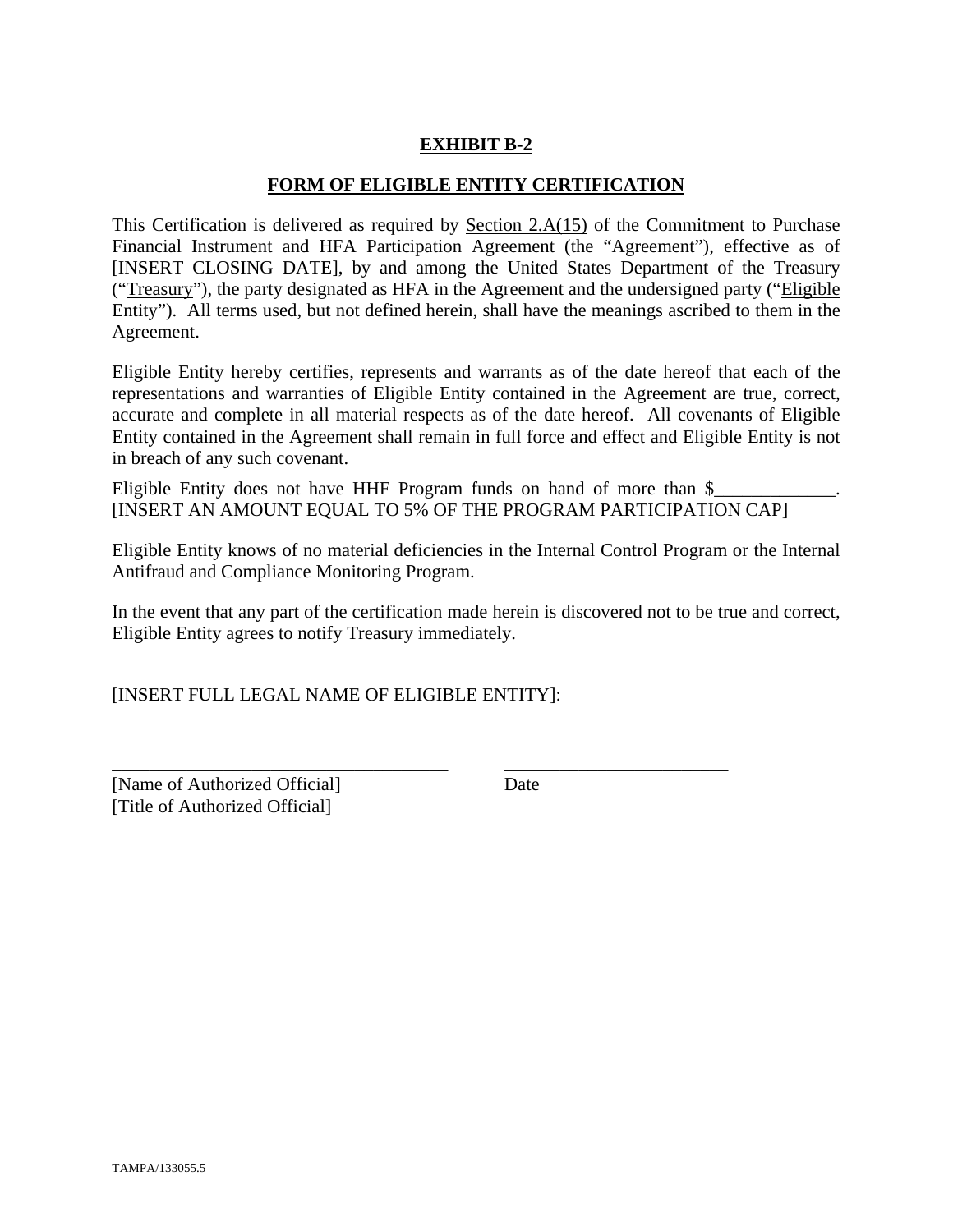# **EXHIBIT B-2**

#### **FORM OF ELIGIBLE ENTITY CERTIFICATION**

This Certification is delivered as required by Section 2.A(15) of the Commitment to Purchase Financial Instrument and HFA Participation Agreement (the "Agreement"), effective as of [INSERT CLOSING DATE], by and among the United States Department of the Treasury ("Treasury"), the party designated as HFA in the Agreement and the undersigned party ("Eligible Entity"). All terms used, but not defined herein, shall have the meanings ascribed to them in the Agreement.

Eligible Entity hereby certifies, represents and warrants as of the date hereof that each of the representations and warranties of Eligible Entity contained in the Agreement are true, correct, accurate and complete in all material respects as of the date hereof. All covenants of Eligible Entity contained in the Agreement shall remain in full force and effect and Eligible Entity is not in breach of any such covenant.

Eligible Entity does not have HHF Program funds on hand of more than  $\$ [INSERT AN AMOUNT EQUAL TO 5% OF THE PROGRAM PARTICIPATION CAP]

Eligible Entity knows of no material deficiencies in the Internal Control Program or the Internal Antifraud and Compliance Monitoring Program.

In the event that any part of the certification made herein is discovered not to be true and correct, Eligible Entity agrees to notify Treasury immediately.

\_\_\_\_\_\_\_\_\_\_\_\_\_\_\_\_\_\_\_\_\_\_\_\_\_\_\_\_\_\_\_\_\_\_\_\_ \_\_\_\_\_\_\_\_\_\_\_\_\_\_\_\_\_\_\_\_\_\_\_\_

[INSERT FULL LEGAL NAME OF ELIGIBLE ENTITY]:

[Name of Authorized Official] Date [Title of Authorized Official]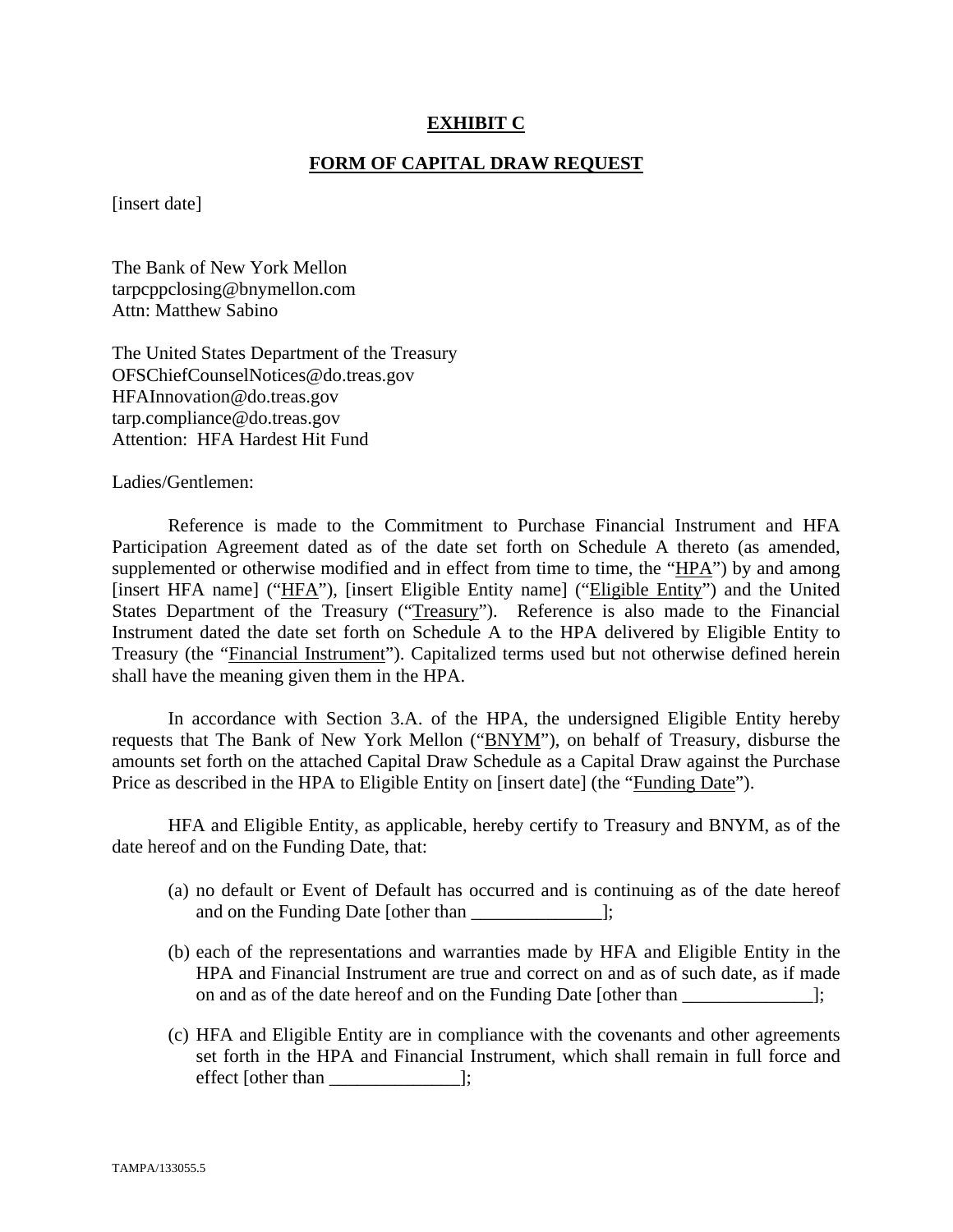#### **EXHIBIT C**

#### **FORM OF CAPITAL DRAW REQUEST**

[insert date]

The Bank of New York Mellon tarpcppclosing@bnymellon.com Attn: Matthew Sabino

The United States Department of the Treasury OFSChiefCounselNotices@do.treas.gov HFAInnovation@do.treas.gov tarp.compliance@do.treas.gov Attention: HFA Hardest Hit Fund

Ladies/Gentlemen:

 Reference is made to the Commitment to Purchase Financial Instrument and HFA Participation Agreement dated as of the date set forth on Schedule A thereto (as amended, supplemented or otherwise modified and in effect from time to time, the "HPA") by and among [insert HFA name] ("HFA"), [insert Eligible Entity name] ("Eligible Entity") and the United States Department of the Treasury ("Treasury"). Reference is also made to the Financial Instrument dated the date set forth on Schedule A to the HPA delivered by Eligible Entity to Treasury (the "Financial Instrument"). Capitalized terms used but not otherwise defined herein shall have the meaning given them in the HPA.

 In accordance with Section 3.A. of the HPA, the undersigned Eligible Entity hereby requests that The Bank of New York Mellon ("BNYM"), on behalf of Treasury, disburse the amounts set forth on the attached Capital Draw Schedule as a Capital Draw against the Purchase Price as described in the HPA to Eligible Entity on [insert date] (the "Funding Date").

 HFA and Eligible Entity, as applicable, hereby certify to Treasury and BNYM, as of the date hereof and on the Funding Date, that:

- (a) no default or Event of Default has occurred and is continuing as of the date hereof and on the Funding Date [other than  $\Box$ ];
- (b) each of the representations and warranties made by HFA and Eligible Entity in the HPA and Financial Instrument are true and correct on and as of such date, as if made on and as of the date hereof and on the Funding Date [other than ];
- (c) HFA and Eligible Entity are in compliance with the covenants and other agreements set forth in the HPA and Financial Instrument, which shall remain in full force and effect [other than \_\_\_\_\_\_\_\_\_\_\_\_\_\_];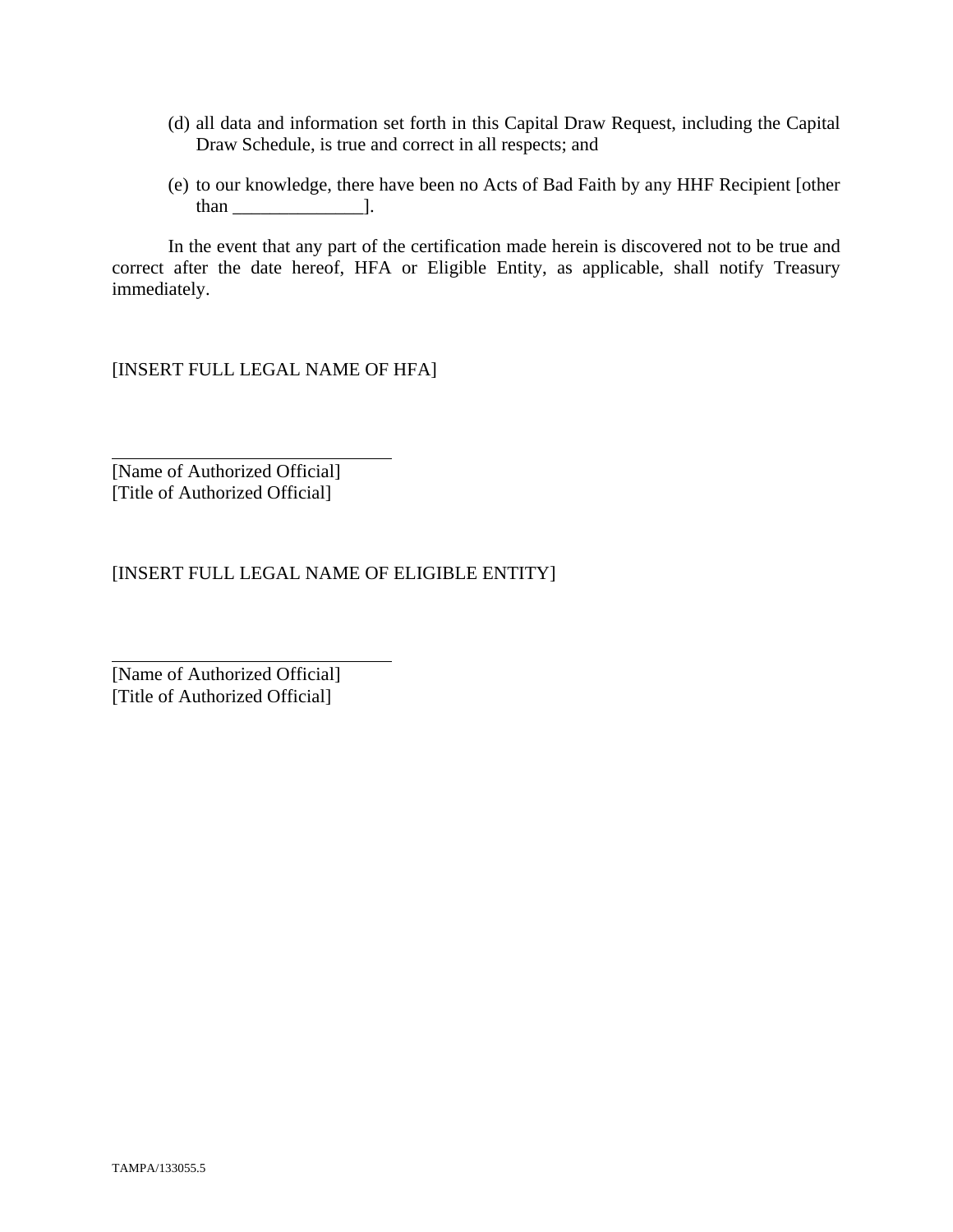- (d) all data and information set forth in this Capital Draw Request, including the Capital Draw Schedule, is true and correct in all respects; and
- (e) to our knowledge, there have been no Acts of Bad Faith by any HHF Recipient [other than  $\qquad$  ].

 In the event that any part of the certification made herein is discovered not to be true and correct after the date hereof, HFA or Eligible Entity, as applicable, shall notify Treasury immediately.

[INSERT FULL LEGAL NAME OF HFA]

[Name of Authorized Official] [Title of Authorized Official]

 $\overline{a}$ 

 $\overline{a}$ 

[INSERT FULL LEGAL NAME OF ELIGIBLE ENTITY]

[Name of Authorized Official] [Title of Authorized Official]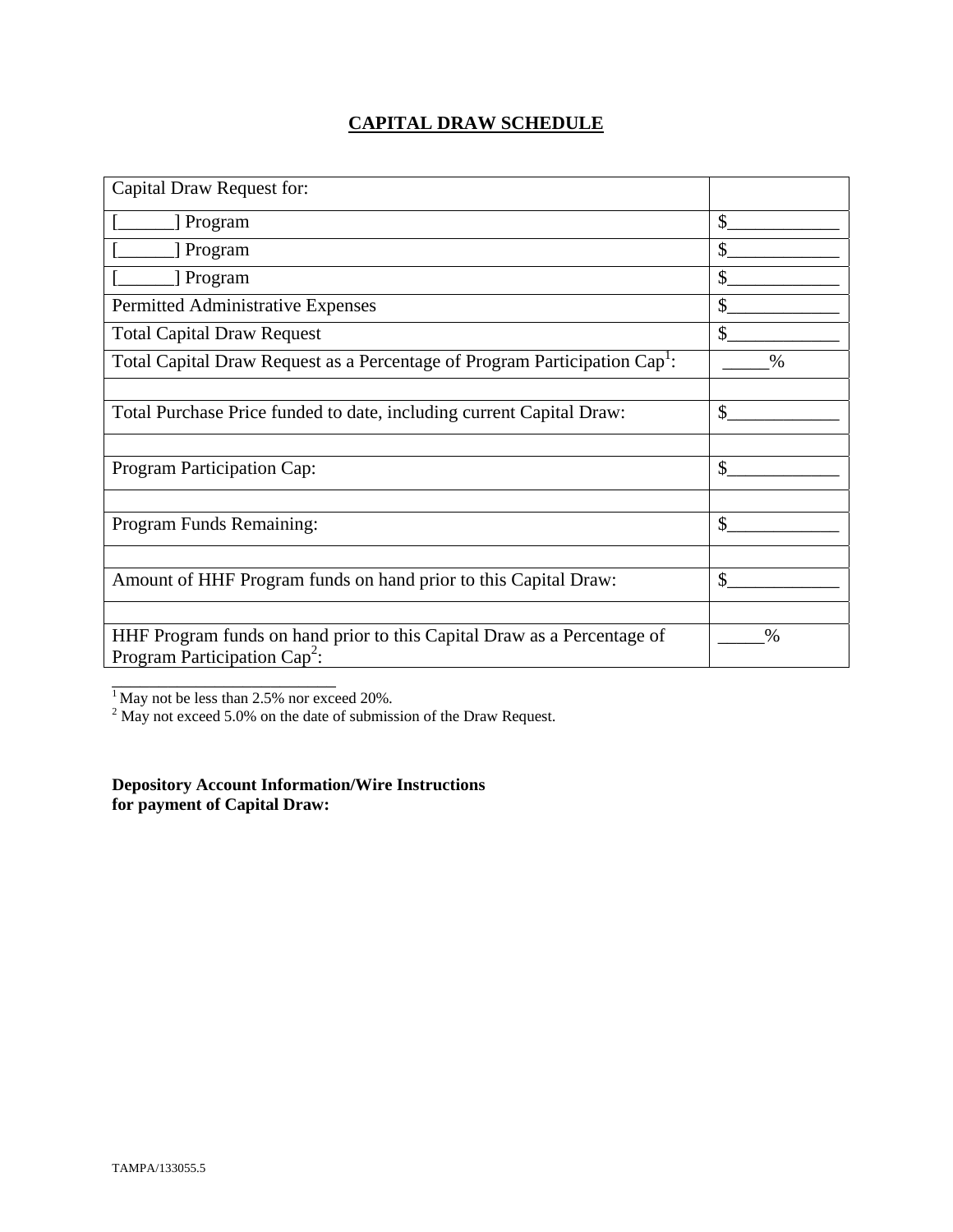# **CAPITAL DRAW SCHEDULE**

| Capital Draw Request for:                                                                                  |               |
|------------------------------------------------------------------------------------------------------------|---------------|
| [ Program                                                                                                  | \$            |
| [ Program                                                                                                  | \$            |
| Program                                                                                                    | \$            |
| Permitted Administrative Expenses                                                                          | \$            |
| <b>Total Capital Draw Request</b>                                                                          | $\mathbb{S}$  |
| Total Capital Draw Request as a Percentage of Program Participation Cap <sup>1</sup> :                     | $\frac{0}{0}$ |
|                                                                                                            |               |
| Total Purchase Price funded to date, including current Capital Draw:                                       | \$            |
|                                                                                                            |               |
| Program Participation Cap:                                                                                 | \$            |
|                                                                                                            |               |
| Program Funds Remaining:                                                                                   | $\mathcal{S}$ |
|                                                                                                            |               |
| Amount of HHF Program funds on hand prior to this Capital Draw:                                            | \$            |
|                                                                                                            |               |
| HHF Program funds on hand prior to this Capital Draw as a Percentage of<br>Program Participation $Cap^2$ : | $\%$          |
|                                                                                                            |               |

<sup>1</sup> May not be less than 2.5% nor exceed 20%.<br><sup>2</sup> May not exceed 5.0% on the date of submission of the Draw Request.

**Depository Account Information/Wire Instructions for payment of Capital Draw:**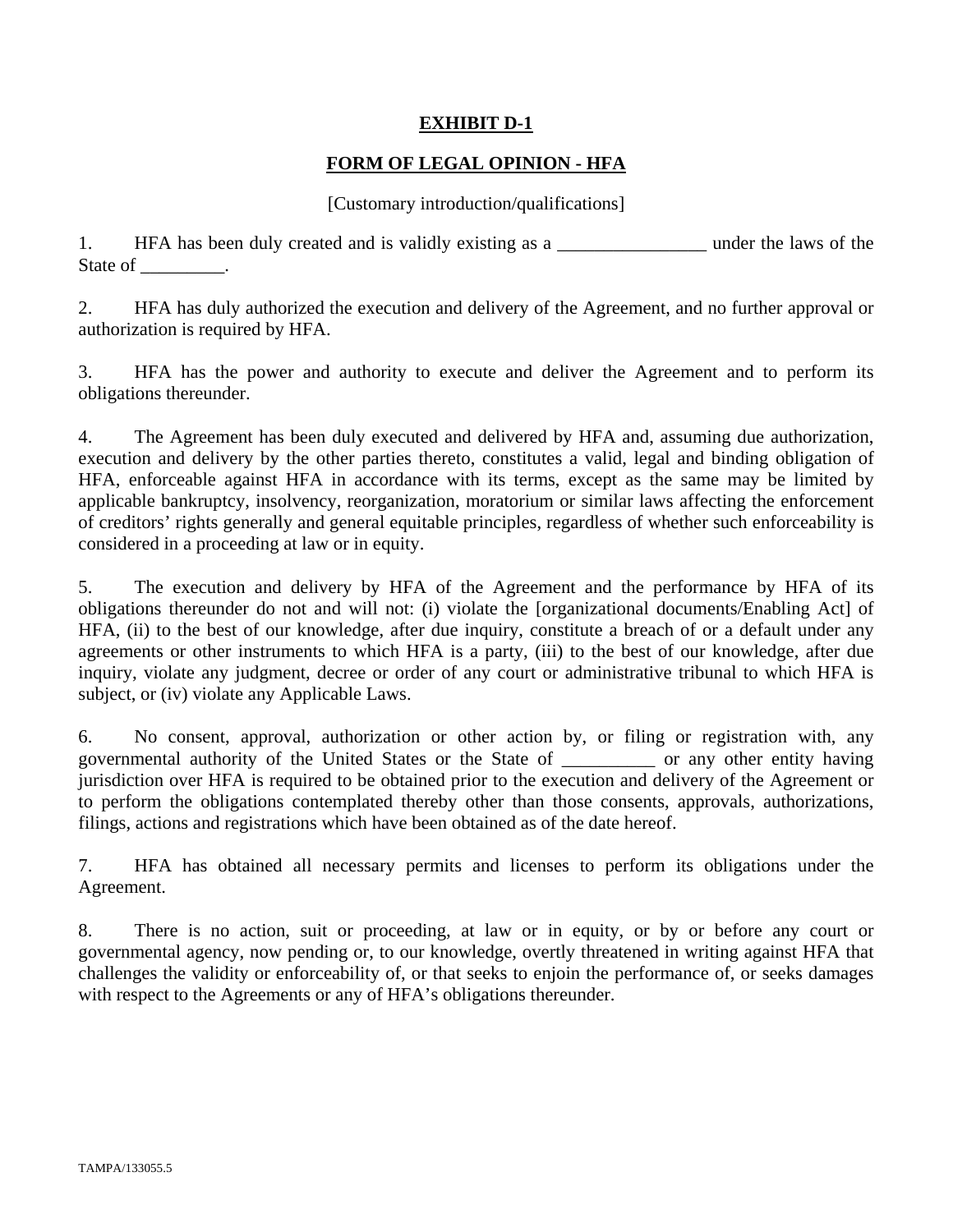## **EXHIBIT D-1**

## **FORM OF LEGAL OPINION - HFA**

#### [Customary introduction/qualifications]

1. HFA has been duly created and is validly existing as a \_\_\_\_\_\_\_\_\_\_\_\_\_\_\_\_\_\_\_\_ under the laws of the State of \_\_\_\_\_\_\_\_\_.

2. HFA has duly authorized the execution and delivery of the Agreement, and no further approval or authorization is required by HFA.

3. HFA has the power and authority to execute and deliver the Agreement and to perform its obligations thereunder.

4. The Agreement has been duly executed and delivered by HFA and, assuming due authorization, execution and delivery by the other parties thereto, constitutes a valid, legal and binding obligation of HFA, enforceable against HFA in accordance with its terms, except as the same may be limited by applicable bankruptcy, insolvency, reorganization, moratorium or similar laws affecting the enforcement of creditors' rights generally and general equitable principles, regardless of whether such enforceability is considered in a proceeding at law or in equity.

5. The execution and delivery by HFA of the Agreement and the performance by HFA of its obligations thereunder do not and will not: (i) violate the [organizational documents/Enabling Act] of HFA, (ii) to the best of our knowledge, after due inquiry, constitute a breach of or a default under any agreements or other instruments to which HFA is a party, (iii) to the best of our knowledge, after due inquiry, violate any judgment, decree or order of any court or administrative tribunal to which HFA is subject, or (iv) violate any Applicable Laws.

6. No consent, approval, authorization or other action by, or filing or registration with, any governmental authority of the United States or the State of \_\_\_\_\_\_\_\_\_\_ or any other entity having jurisdiction over HFA is required to be obtained prior to the execution and delivery of the Agreement or to perform the obligations contemplated thereby other than those consents, approvals, authorizations, filings, actions and registrations which have been obtained as of the date hereof.

7. HFA has obtained all necessary permits and licenses to perform its obligations under the Agreement.

8. There is no action, suit or proceeding, at law or in equity, or by or before any court or governmental agency, now pending or, to our knowledge, overtly threatened in writing against HFA that challenges the validity or enforceability of, or that seeks to enjoin the performance of, or seeks damages with respect to the Agreements or any of HFA's obligations thereunder.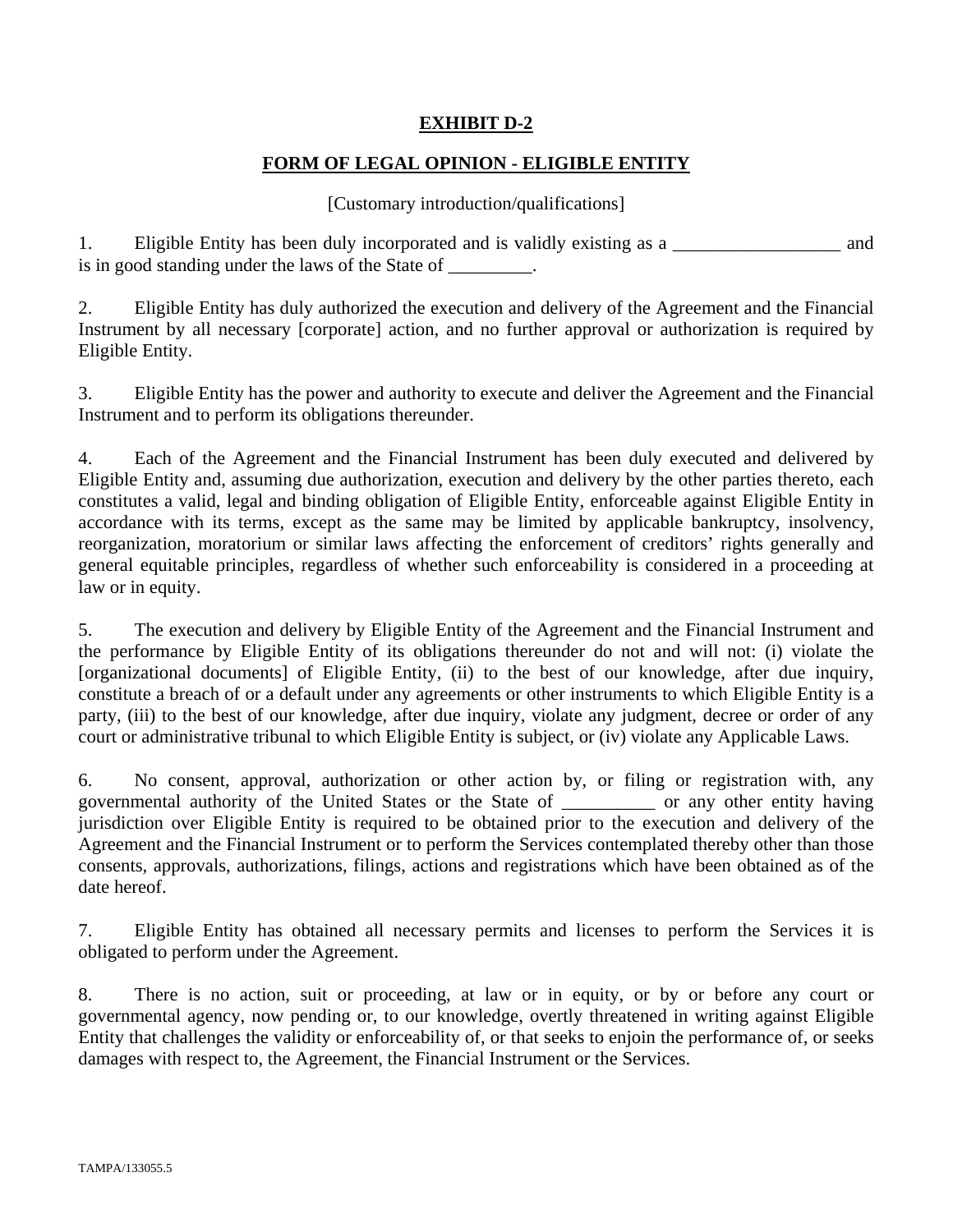# **EXHIBIT D-2**

# **FORM OF LEGAL OPINION - ELIGIBLE ENTITY**

#### [Customary introduction/qualifications]

1. Eligible Entity has been duly incorporated and is validly existing as a \_\_\_\_\_\_\_\_\_\_\_\_\_\_\_\_\_\_ and is in good standing under the laws of the State of \_\_\_\_\_\_\_\_.

2. Eligible Entity has duly authorized the execution and delivery of the Agreement and the Financial Instrument by all necessary [corporate] action, and no further approval or authorization is required by Eligible Entity.

3. Eligible Entity has the power and authority to execute and deliver the Agreement and the Financial Instrument and to perform its obligations thereunder.

4. Each of the Agreement and the Financial Instrument has been duly executed and delivered by Eligible Entity and, assuming due authorization, execution and delivery by the other parties thereto, each constitutes a valid, legal and binding obligation of Eligible Entity, enforceable against Eligible Entity in accordance with its terms, except as the same may be limited by applicable bankruptcy, insolvency, reorganization, moratorium or similar laws affecting the enforcement of creditors' rights generally and general equitable principles, regardless of whether such enforceability is considered in a proceeding at law or in equity.

5. The execution and delivery by Eligible Entity of the Agreement and the Financial Instrument and the performance by Eligible Entity of its obligations thereunder do not and will not: (i) violate the [organizational documents] of Eligible Entity, (ii) to the best of our knowledge, after due inquiry, constitute a breach of or a default under any agreements or other instruments to which Eligible Entity is a party, (iii) to the best of our knowledge, after due inquiry, violate any judgment, decree or order of any court or administrative tribunal to which Eligible Entity is subject, or (iv) violate any Applicable Laws.

6. No consent, approval, authorization or other action by, or filing or registration with, any governmental authority of the United States or the State of \_\_\_\_\_\_\_\_\_\_ or any other entity having jurisdiction over Eligible Entity is required to be obtained prior to the execution and delivery of the Agreement and the Financial Instrument or to perform the Services contemplated thereby other than those consents, approvals, authorizations, filings, actions and registrations which have been obtained as of the date hereof.

7. Eligible Entity has obtained all necessary permits and licenses to perform the Services it is obligated to perform under the Agreement.

8. There is no action, suit or proceeding, at law or in equity, or by or before any court or governmental agency, now pending or, to our knowledge, overtly threatened in writing against Eligible Entity that challenges the validity or enforceability of, or that seeks to enjoin the performance of, or seeks damages with respect to, the Agreement, the Financial Instrument or the Services.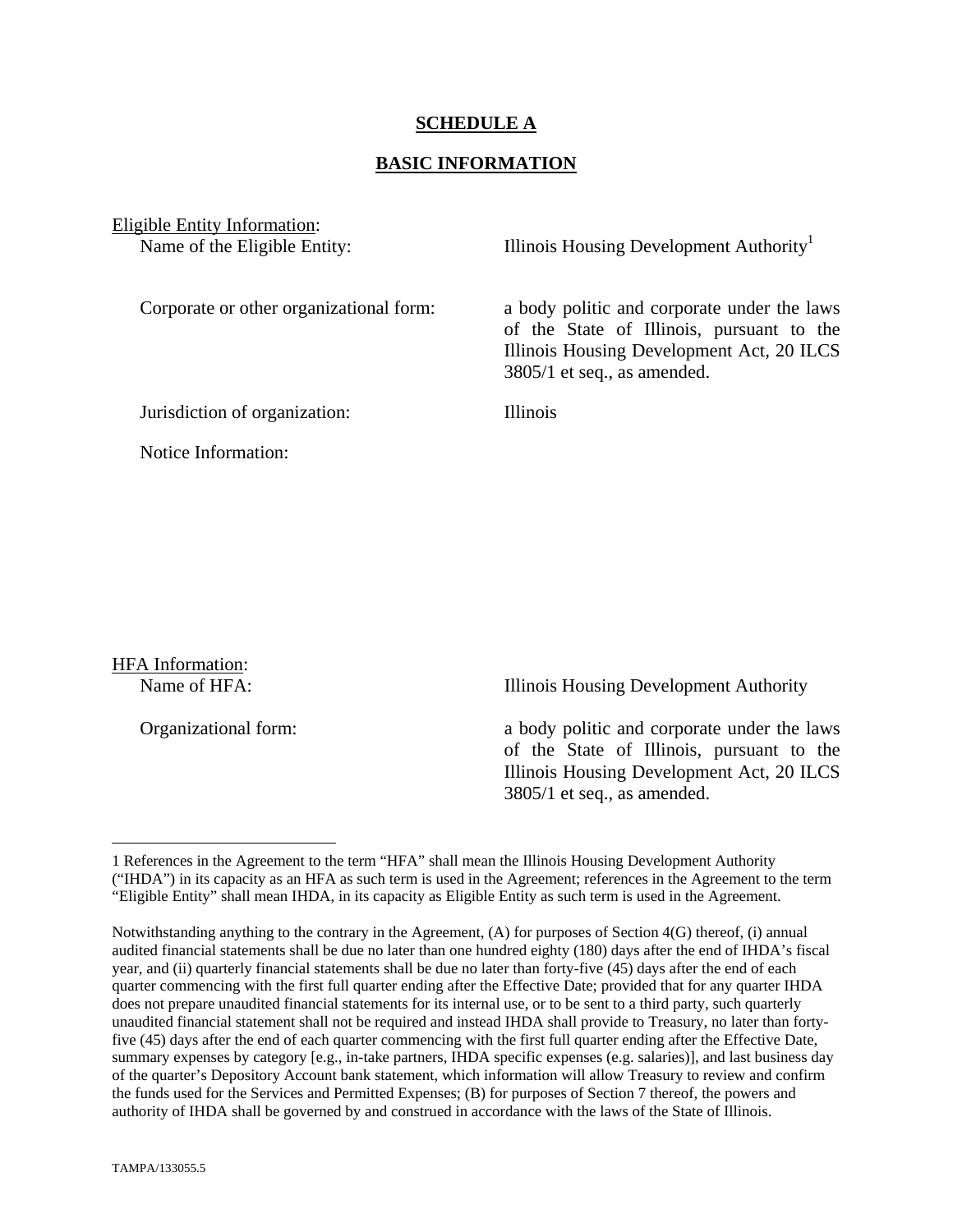#### **SCHEDULE A**

#### **BASIC INFORMATION**

Eligible Entity Information:

Name of the Eligible Entity: Illinois Housing Development Authority<sup>1</sup>

Corporate or other organizational form: a body politic and corporate under the laws of the State of Illinois, pursuant to the Illinois Housing Development Act, 20 ILCS 3805/1 et seq., as amended.

Jurisdiction of organization: Illinois

Notice Information:

HFA Information:

 $\overline{a}$ 

Name of HFA: Illinois Housing Development Authority

Organizational form: a body politic and corporate under the laws of the State of Illinois, pursuant to the Illinois Housing Development Act, 20 ILCS 3805/1 et seq., as amended.

<sup>1</sup> References in the Agreement to the term "HFA" shall mean the Illinois Housing Development Authority ("IHDA") in its capacity as an HFA as such term is used in the Agreement; references in the Agreement to the term "Eligible Entity" shall mean IHDA, in its capacity as Eligible Entity as such term is used in the Agreement.

Notwithstanding anything to the contrary in the Agreement, (A) for purposes of Section 4(G) thereof, (i) annual audited financial statements shall be due no later than one hundred eighty (180) days after the end of IHDA's fiscal year, and (ii) quarterly financial statements shall be due no later than forty-five (45) days after the end of each quarter commencing with the first full quarter ending after the Effective Date; provided that for any quarter IHDA does not prepare unaudited financial statements for its internal use, or to be sent to a third party, such quarterly unaudited financial statement shall not be required and instead IHDA shall provide to Treasury, no later than fortyfive (45) days after the end of each quarter commencing with the first full quarter ending after the Effective Date, summary expenses by category [e.g., in-take partners, IHDA specific expenses (e.g. salaries)], and last business day of the quarter's Depository Account bank statement, which information will allow Treasury to review and confirm the funds used for the Services and Permitted Expenses; (B) for purposes of Section 7 thereof, the powers and authority of IHDA shall be governed by and construed in accordance with the laws of the State of Illinois.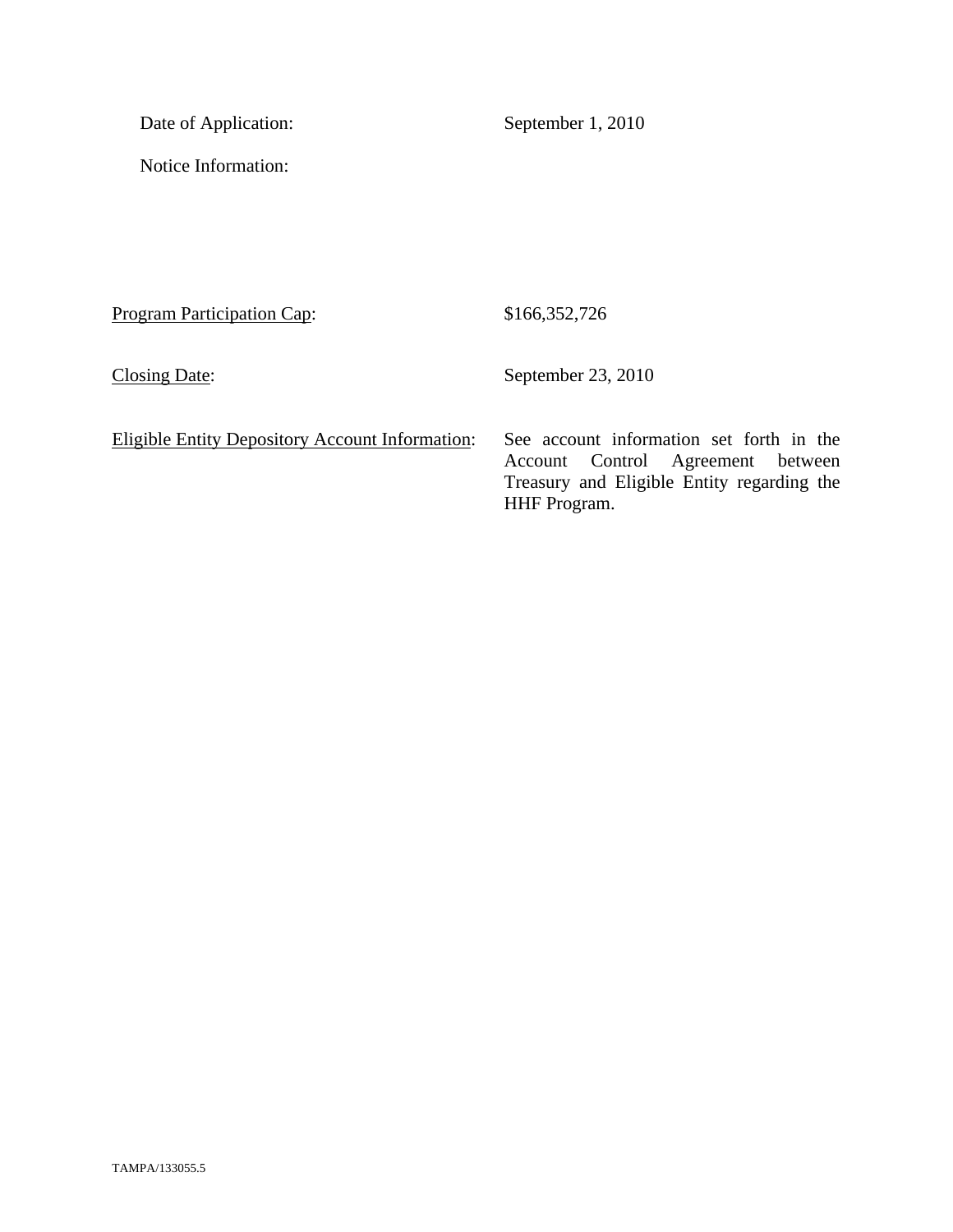Date of Application: September 1, 2010

Notice Information:

Program Participation Cap: \$166,352,726

Closing Date: September 23, 2010

|  | Eligible Entity Depository Account Information: |
|--|-------------------------------------------------|
|  |                                                 |

ligible Entity Depository Account Information: See account information set forth in the Account Control Agreement between Treasury and Eligible Entity regarding the HHF Program.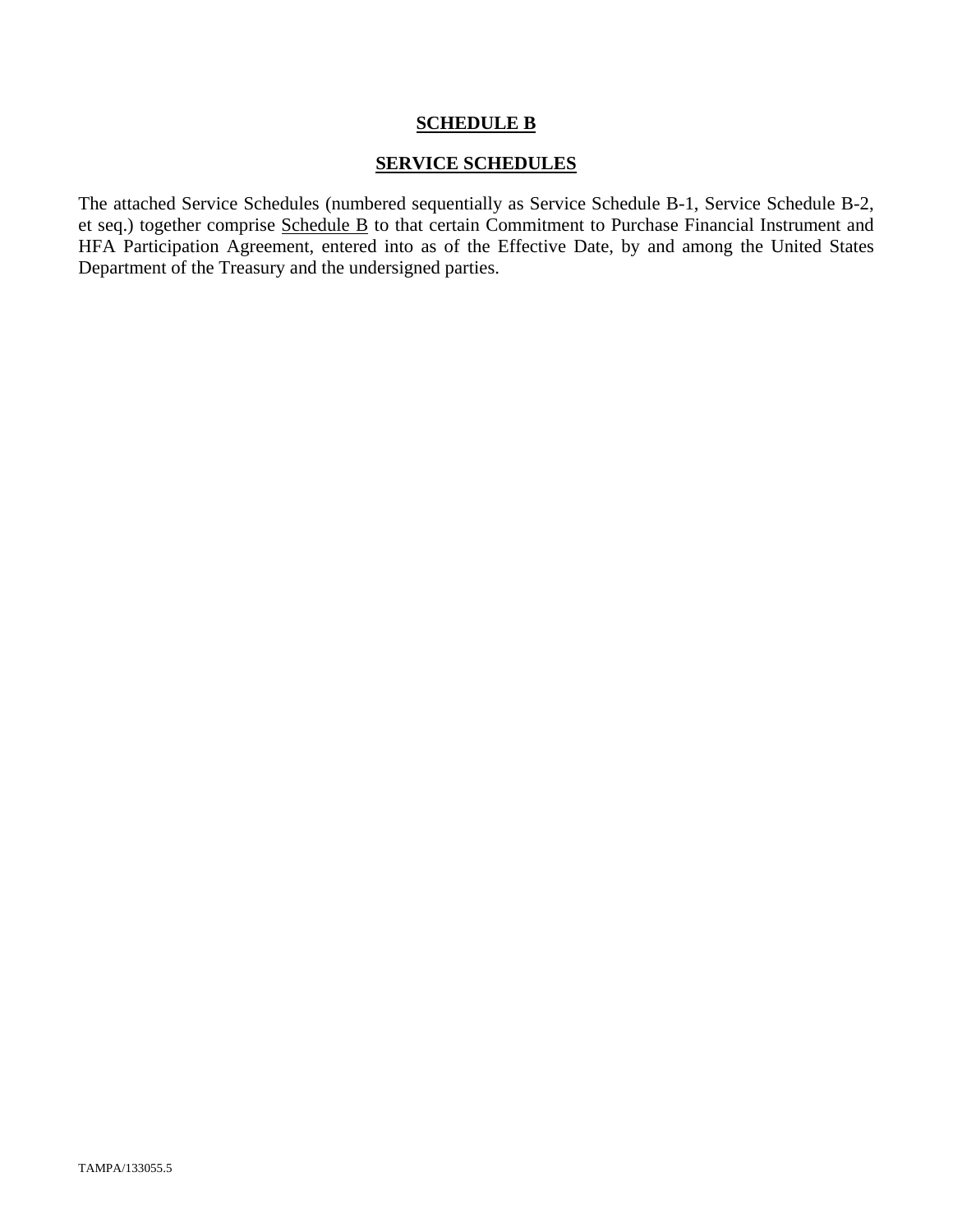#### **SCHEDULE B**

#### **SERVICE SCHEDULES**

The attached Service Schedules (numbered sequentially as Service Schedule B-1, Service Schedule B-2, et seq.) together comprise Schedule B to that certain Commitment to Purchase Financial Instrument and HFA Participation Agreement, entered into as of the Effective Date, by and among the United States Department of the Treasury and the undersigned parties.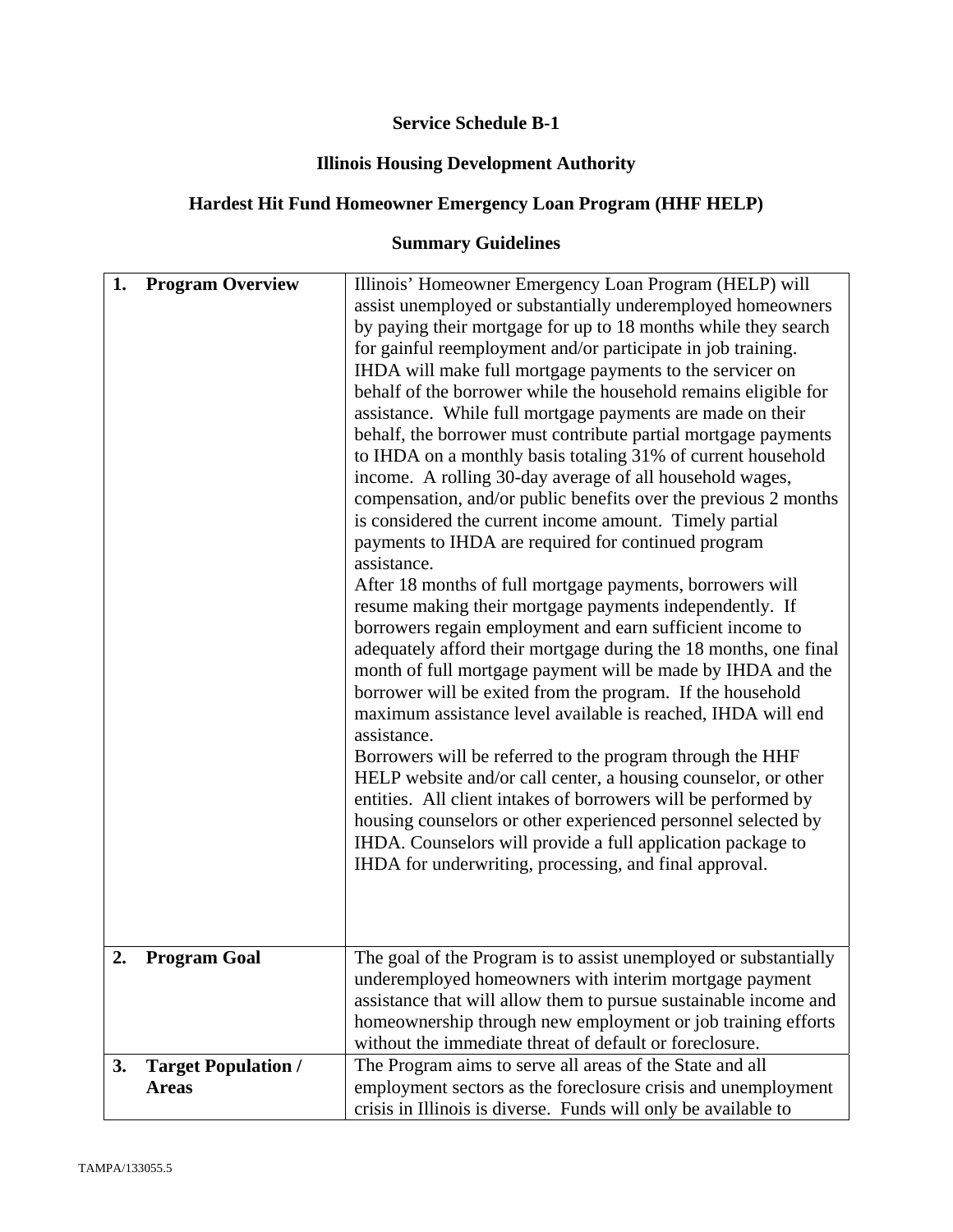# **Service Schedule B-1**

# **Illinois Housing Development Authority**

# **Hardest Hit Fund Homeowner Emergency Loan Program (HHF HELP)**

# **Summary Guidelines**

| 1. | <b>Program Overview</b>                    | Illinois' Homeowner Emergency Loan Program (HELP) will                                                                                                                                                                                                                                                                                                                                                                                                                                                                                                                                                                                                                                                                                                                                                                                                                                                                                                                                                                                                                                                                                                                                                                                                                                                                                                                                                                                                                                                                                                                                                                                                       |
|----|--------------------------------------------|--------------------------------------------------------------------------------------------------------------------------------------------------------------------------------------------------------------------------------------------------------------------------------------------------------------------------------------------------------------------------------------------------------------------------------------------------------------------------------------------------------------------------------------------------------------------------------------------------------------------------------------------------------------------------------------------------------------------------------------------------------------------------------------------------------------------------------------------------------------------------------------------------------------------------------------------------------------------------------------------------------------------------------------------------------------------------------------------------------------------------------------------------------------------------------------------------------------------------------------------------------------------------------------------------------------------------------------------------------------------------------------------------------------------------------------------------------------------------------------------------------------------------------------------------------------------------------------------------------------------------------------------------------------|
|    |                                            | assist unemployed or substantially underemployed homeowners<br>by paying their mortgage for up to 18 months while they search<br>for gainful reemployment and/or participate in job training.<br>IHDA will make full mortgage payments to the servicer on<br>behalf of the borrower while the household remains eligible for<br>assistance. While full mortgage payments are made on their<br>behalf, the borrower must contribute partial mortgage payments<br>to IHDA on a monthly basis totaling 31% of current household<br>income. A rolling 30-day average of all household wages,<br>compensation, and/or public benefits over the previous 2 months<br>is considered the current income amount. Timely partial<br>payments to IHDA are required for continued program<br>assistance.<br>After 18 months of full mortgage payments, borrowers will<br>resume making their mortgage payments independently. If<br>borrowers regain employment and earn sufficient income to<br>adequately afford their mortgage during the 18 months, one final<br>month of full mortgage payment will be made by IHDA and the<br>borrower will be exited from the program. If the household<br>maximum assistance level available is reached, IHDA will end<br>assistance.<br>Borrowers will be referred to the program through the HHF<br>HELP website and/or call center, a housing counselor, or other<br>entities. All client intakes of borrowers will be performed by<br>housing counselors or other experienced personnel selected by<br>IHDA. Counselors will provide a full application package to<br>IHDA for underwriting, processing, and final approval. |
| 2. | <b>Program Goal</b>                        | The goal of the Program is to assist unemployed or substantially<br>underemployed homeowners with interim mortgage payment<br>assistance that will allow them to pursue sustainable income and<br>homeownership through new employment or job training efforts<br>without the immediate threat of default or foreclosure.                                                                                                                                                                                                                                                                                                                                                                                                                                                                                                                                                                                                                                                                                                                                                                                                                                                                                                                                                                                                                                                                                                                                                                                                                                                                                                                                    |
| 3. | <b>Target Population /</b><br><b>Areas</b> | The Program aims to serve all areas of the State and all<br>employment sectors as the foreclosure crisis and unemployment<br>crisis in Illinois is diverse. Funds will only be available to                                                                                                                                                                                                                                                                                                                                                                                                                                                                                                                                                                                                                                                                                                                                                                                                                                                                                                                                                                                                                                                                                                                                                                                                                                                                                                                                                                                                                                                                  |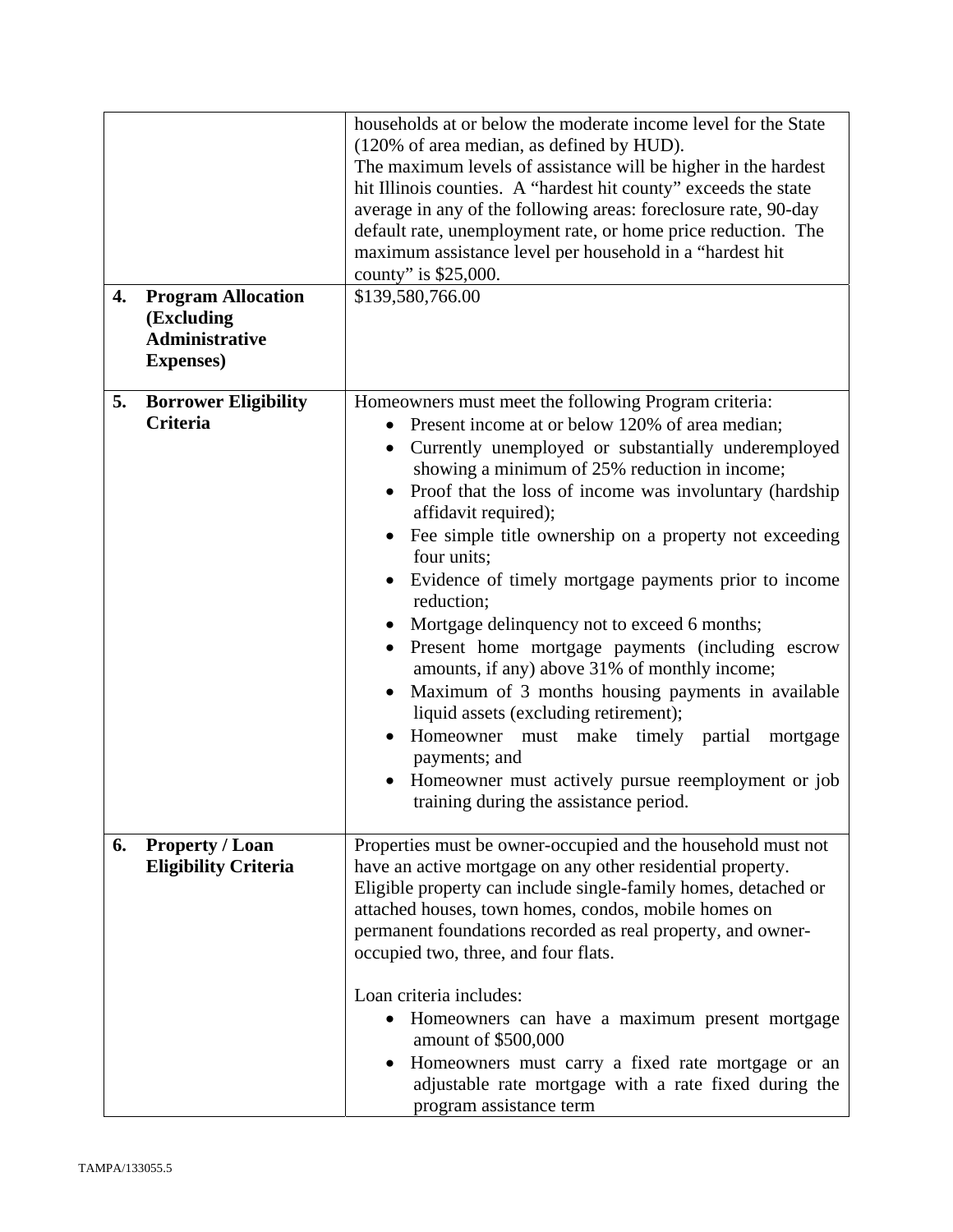| 4. | <b>Program Allocation</b><br>(Excluding<br><b>Administrative</b><br><b>Expenses</b> ) | households at or below the moderate income level for the State<br>(120% of area median, as defined by HUD).<br>The maximum levels of assistance will be higher in the hardest<br>hit Illinois counties. A "hardest hit county" exceeds the state<br>average in any of the following areas: foreclosure rate, 90-day<br>default rate, unemployment rate, or home price reduction. The<br>maximum assistance level per household in a "hardest hit<br>county" is \$25,000.<br>\$139,580,766.00                                                                                                                                                                                                                                                                                                                                                                            |
|----|---------------------------------------------------------------------------------------|-------------------------------------------------------------------------------------------------------------------------------------------------------------------------------------------------------------------------------------------------------------------------------------------------------------------------------------------------------------------------------------------------------------------------------------------------------------------------------------------------------------------------------------------------------------------------------------------------------------------------------------------------------------------------------------------------------------------------------------------------------------------------------------------------------------------------------------------------------------------------|
| 5. | <b>Borrower Eligibility</b><br><b>Criteria</b>                                        | Homeowners must meet the following Program criteria:<br>Present income at or below 120% of area median;<br>Currently unemployed or substantially underemployed<br>showing a minimum of 25% reduction in income;<br>Proof that the loss of income was involuntary (hardship<br>affidavit required);<br>Fee simple title ownership on a property not exceeding<br>four units;<br>Evidence of timely mortgage payments prior to income<br>reduction;<br>Mortgage delinquency not to exceed 6 months;<br>Present home mortgage payments (including escrow<br>amounts, if any) above 31% of monthly income;<br>Maximum of 3 months housing payments in available<br>liquid assets (excluding retirement);<br>Homeowner must make timely partial<br>mortgage<br>payments; and<br>Homeowner must actively pursue reemployment or job<br>training during the assistance period. |
| 6. | <b>Property / Loan</b><br><b>Eligibility Criteria</b>                                 | Properties must be owner-occupied and the household must not<br>have an active mortgage on any other residential property.<br>Eligible property can include single-family homes, detached or<br>attached houses, town homes, condos, mobile homes on<br>permanent foundations recorded as real property, and owner-<br>occupied two, three, and four flats.<br>Loan criteria includes:<br>Homeowners can have a maximum present mortgage<br>amount of \$500,000<br>Homeowners must carry a fixed rate mortgage or an<br>adjustable rate mortgage with a rate fixed during the<br>program assistance term                                                                                                                                                                                                                                                                |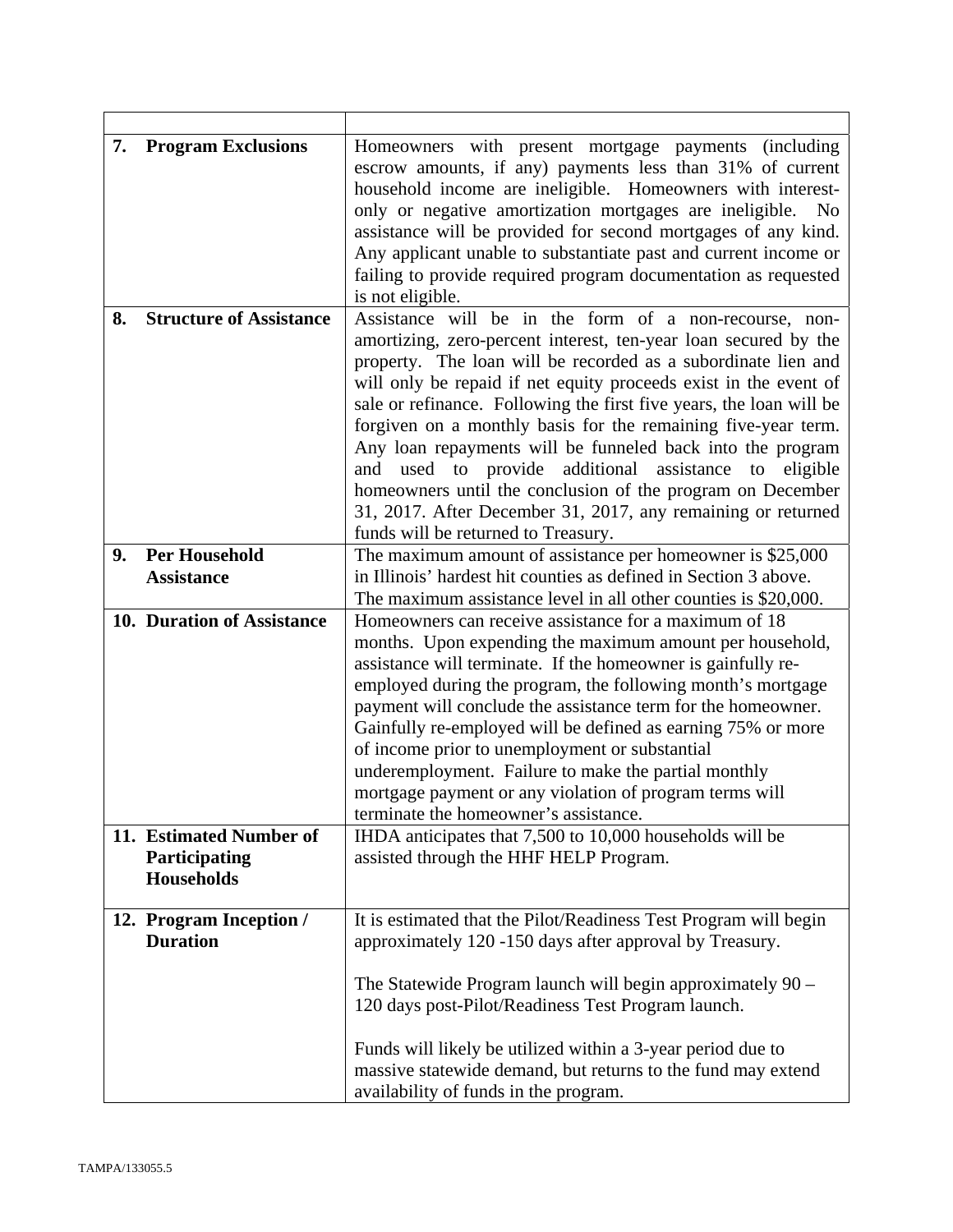| 7. | <b>Program Exclusions</b>                                     | Homeowners with present mortgage payments (including<br>escrow amounts, if any) payments less than 31% of current<br>household income are ineligible. Homeowners with interest-<br>only or negative amortization mortgages are ineligible.<br>N <sub>0</sub><br>assistance will be provided for second mortgages of any kind.<br>Any applicant unable to substantiate past and current income or<br>failing to provide required program documentation as requested<br>is not eligible.                                                                                                                                                                                                             |
|----|---------------------------------------------------------------|----------------------------------------------------------------------------------------------------------------------------------------------------------------------------------------------------------------------------------------------------------------------------------------------------------------------------------------------------------------------------------------------------------------------------------------------------------------------------------------------------------------------------------------------------------------------------------------------------------------------------------------------------------------------------------------------------|
| 8. | <b>Structure of Assistance</b>                                | Assistance will be in the form of a non-recourse, non-<br>amortizing, zero-percent interest, ten-year loan secured by the<br>property. The loan will be recorded as a subordinate lien and<br>will only be repaid if net equity proceeds exist in the event of<br>sale or refinance. Following the first five years, the loan will be<br>forgiven on a monthly basis for the remaining five-year term.<br>Any loan repayments will be funneled back into the program<br>and used to provide additional assistance to eligible<br>homeowners until the conclusion of the program on December<br>31, 2017. After December 31, 2017, any remaining or returned<br>funds will be returned to Treasury. |
| 9. | <b>Per Household</b><br><b>Assistance</b>                     | The maximum amount of assistance per homeowner is \$25,000<br>in Illinois' hardest hit counties as defined in Section 3 above.<br>The maximum assistance level in all other counties is \$20,000.                                                                                                                                                                                                                                                                                                                                                                                                                                                                                                  |
|    | 10. Duration of Assistance                                    | Homeowners can receive assistance for a maximum of 18<br>months. Upon expending the maximum amount per household,<br>assistance will terminate. If the homeowner is gainfully re-<br>employed during the program, the following month's mortgage<br>payment will conclude the assistance term for the homeowner.<br>Gainfully re-employed will be defined as earning 75% or more<br>of income prior to unemployment or substantial<br>underemployment. Failure to make the partial monthly<br>mortgage payment or any violation of program terms will<br>terminate the homeowner's assistance.                                                                                                     |
|    | 11. Estimated Number of<br>Participating<br><b>Households</b> | IHDA anticipates that 7,500 to 10,000 households will be<br>assisted through the HHF HELP Program.                                                                                                                                                                                                                                                                                                                                                                                                                                                                                                                                                                                                 |
|    | 12. Program Inception /<br><b>Duration</b>                    | It is estimated that the Pilot/Readiness Test Program will begin<br>approximately 120 -150 days after approval by Treasury.                                                                                                                                                                                                                                                                                                                                                                                                                                                                                                                                                                        |
|    |                                                               | The Statewide Program launch will begin approximately $90 -$<br>120 days post-Pilot/Readiness Test Program launch.                                                                                                                                                                                                                                                                                                                                                                                                                                                                                                                                                                                 |
|    |                                                               | Funds will likely be utilized within a 3-year period due to<br>massive statewide demand, but returns to the fund may extend<br>availability of funds in the program.                                                                                                                                                                                                                                                                                                                                                                                                                                                                                                                               |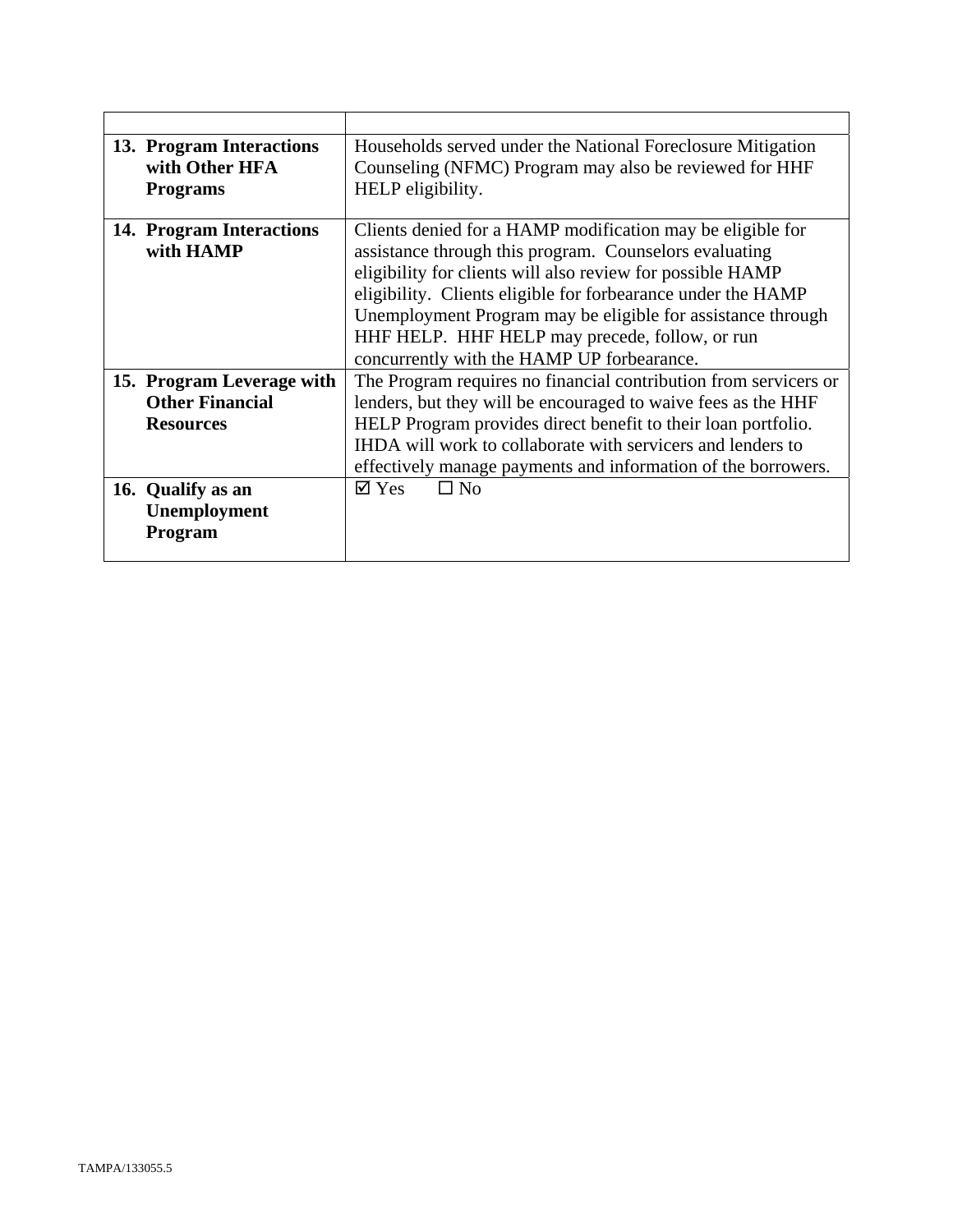| 13. Program Interactions<br>with Other HFA<br><b>Programs</b>           | Households served under the National Foreclosure Mitigation<br>Counseling (NFMC) Program may also be reviewed for HHF<br>HELP eligibility.                                                                                                                                                                                                                                                                        |
|-------------------------------------------------------------------------|-------------------------------------------------------------------------------------------------------------------------------------------------------------------------------------------------------------------------------------------------------------------------------------------------------------------------------------------------------------------------------------------------------------------|
| 14. Program Interactions<br>with HAMP                                   | Clients denied for a HAMP modification may be eligible for<br>assistance through this program. Counselors evaluating<br>eligibility for clients will also review for possible HAMP<br>eligibility. Clients eligible for forbearance under the HAMP<br>Unemployment Program may be eligible for assistance through<br>HHF HELP. HHF HELP may precede, follow, or run<br>concurrently with the HAMP UP forbearance. |
| 15. Program Leverage with<br><b>Other Financial</b><br><b>Resources</b> | The Program requires no financial contribution from servicers or<br>lenders, but they will be encouraged to waive fees as the HHF<br>HELP Program provides direct benefit to their loan portfolio.<br>IHDA will work to collaborate with servicers and lenders to<br>effectively manage payments and information of the borrowers.                                                                                |
| 16. Qualify as an<br><b>Unemployment</b><br>Program                     | $\boxtimes$ Yes<br>$\Box$ No                                                                                                                                                                                                                                                                                                                                                                                      |